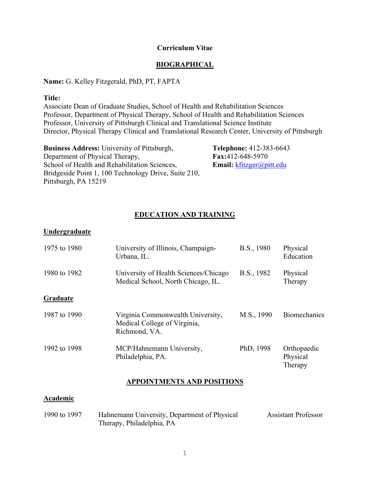#### **Curriculum Vitae**

### **BIOGRAPHICAL**

#### **Name:** G. Kelley Fitzgerald, PhD, PT, FAPTA

#### **Title:**

Associate Dean of Graduate Studies, School of Health and Rehabilitation Sciences Professor, Department of Physical Therapy, School of Health and Rehabilitation Sciences Professor, University of Pittsburgh Clinical and Translational Science Institute Director, Physical Therapy Clinical and Translational Research Center, University of Pittsburgh

| <b>Business Address:</b> University of Pittsburgh,   |
|------------------------------------------------------|
| Department of Physical Therapy,                      |
| School of Health and Rehabilitation Sciences,        |
| Bridgeside Point 1, 100 Technology Drive, Suite 210, |
| Pittsburgh, PA 15219                                 |

**Telephone:** 412-383-6643 **Fax:**412-648-5970 **Email:** [kfitzger@pitt.edu](mailto:kfitzger@pitt.edu)

## **EDUCATION AND TRAINING**

## **Undergraduate**

| 1975 to 1980 | University of Illinois, Champaign-<br>Urbana, IL.                                  | B.S., 1980 | Physical<br>Education              |
|--------------|------------------------------------------------------------------------------------|------------|------------------------------------|
| 1980 to 1982 | University of Health Sciences/Chicago<br>Medical School, North Chicago, IL.        | B.S., 1982 | Physical<br>Therapy                |
| Graduate     |                                                                                    |            |                                    |
| 1987 to 1990 | Virginia Commonwealth University,<br>Medical College of Virginia,<br>Richmond, VA. | M.S., 1990 | <b>Biomechanics</b>                |
| 1992 to 1998 | MCP/Hahnemann University,<br>Philadelphia, PA.                                     | PhD, 1998  | Orthopaedic<br>Physical<br>Therapy |

### **APPOINTMENTS AND POSITIONS**

#### **Academic**

| 1990 to 1997 | Hahnemann University, Department of Physical | <b>Assistant Professor</b> |
|--------------|----------------------------------------------|----------------------------|
|              | Therapy, Philadelphia, PA                    |                            |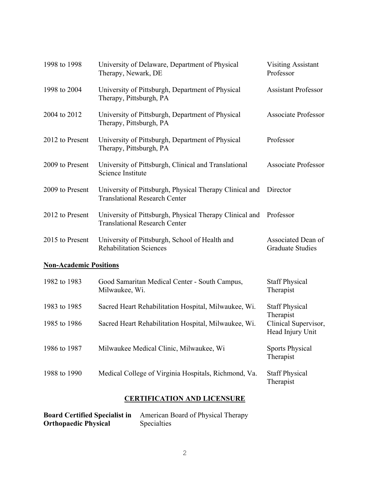| 1998 to 1998                  | University of Delaware, Department of Physical<br>Therapy, Newark, DE                                     | <b>Visiting Assistant</b><br>Professor                |
|-------------------------------|-----------------------------------------------------------------------------------------------------------|-------------------------------------------------------|
| 1998 to 2004                  | University of Pittsburgh, Department of Physical<br>Therapy, Pittsburgh, PA                               | <b>Assistant Professor</b>                            |
| 2004 to 2012                  | University of Pittsburgh, Department of Physical<br>Therapy, Pittsburgh, PA                               | <b>Associate Professor</b>                            |
| 2012 to Present               | University of Pittsburgh, Department of Physical<br>Therapy, Pittsburgh, PA                               | Professor                                             |
| 2009 to Present               | University of Pittsburgh, Clinical and Translational<br>Science Institute                                 | <b>Associate Professor</b>                            |
| 2009 to Present               | University of Pittsburgh, Physical Therapy Clinical and Director<br><b>Translational Research Center</b>  |                                                       |
| 2012 to Present               | University of Pittsburgh, Physical Therapy Clinical and Professor<br><b>Translational Research Center</b> |                                                       |
| 2015 to Present               | University of Pittsburgh, School of Health and<br><b>Rehabilitation Sciences</b>                          | Associated Dean of<br><b>Graduate Studies</b>         |
| <b>Non-Academic Positions</b> |                                                                                                           |                                                       |
| 1982 to 1983                  | Good Samaritan Medical Center - South Campus,<br>Milwaukee, Wi.                                           | <b>Staff Physical</b><br>Therapist                    |
| 1983 to 1985                  | Sacred Heart Rehabilitation Hospital, Milwaukee, Wi.                                                      | <b>Staff Physical</b>                                 |
| 1985 to 1986                  | Sacred Heart Rehabilitation Hospital, Milwaukee, Wi.                                                      | Therapist<br>Clinical Supervisor,<br>Head Injury Unit |
| 1986 to 1987                  | Milwaukee Medical Clinic, Milwaukee, Wi                                                                   | <b>Sports Physical</b><br>Therapist                   |
| 1988 to 1990                  | Medical College of Virginia Hospitals, Richmond, Va.                                                      | <b>Staff Physical</b><br>Therapist                    |
|                               |                                                                                                           |                                                       |

## **CERTIFICATION AND LICENSURE**

| <b>Board Certified Specialist in</b> | American Board of Physical Therapy |
|--------------------------------------|------------------------------------|
| <b>Orthopaedic Physical</b>          | <b>Specialties</b>                 |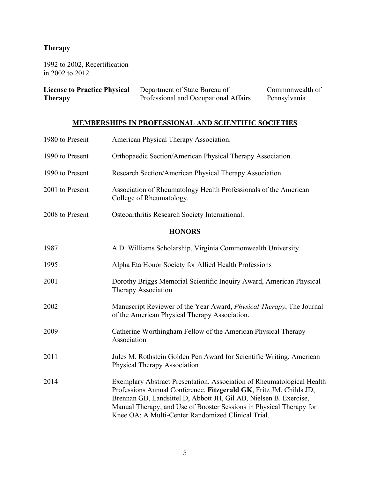# **Therapy**

1992 to 2002, Recertification in 2002 to 2012.

| <b>License to Practice Physical</b> | Department of State Bureau of         | Commonwealth of |
|-------------------------------------|---------------------------------------|-----------------|
| <b>Therapy</b>                      | Professional and Occupational Affairs | Pennsylvania    |

## **MEMBERSHIPS IN PROFESSIONAL AND SCIENTIFIC SOCIETIES**

| 1980 to Present | American Physical Therapy Association.                                                                                                                                                                                                                                                                                                         |
|-----------------|------------------------------------------------------------------------------------------------------------------------------------------------------------------------------------------------------------------------------------------------------------------------------------------------------------------------------------------------|
| 1990 to Present | Orthopaedic Section/American Physical Therapy Association.                                                                                                                                                                                                                                                                                     |
| 1990 to Present | Research Section/American Physical Therapy Association.                                                                                                                                                                                                                                                                                        |
| 2001 to Present | Association of Rheumatology Health Professionals of the American<br>College of Rheumatology.                                                                                                                                                                                                                                                   |
| 2008 to Present | Osteoarthritis Research Society International.                                                                                                                                                                                                                                                                                                 |
|                 | <b>HONORS</b>                                                                                                                                                                                                                                                                                                                                  |
| 1987            | A.D. Williams Scholarship, Virginia Commonwealth University                                                                                                                                                                                                                                                                                    |
| 1995            | Alpha Eta Honor Society for Allied Health Professions                                                                                                                                                                                                                                                                                          |
| 2001            | Dorothy Briggs Memorial Scientific Inquiry Award, American Physical<br>Therapy Association                                                                                                                                                                                                                                                     |
| 2002            | Manuscript Reviewer of the Year Award, <i>Physical Therapy</i> , The Journal<br>of the American Physical Therapy Association.                                                                                                                                                                                                                  |
| 2009            | Catherine Worthingham Fellow of the American Physical Therapy<br>Association                                                                                                                                                                                                                                                                   |
| 2011            | Jules M. Rothstein Golden Pen Award for Scientific Writing, American<br><b>Physical Therapy Association</b>                                                                                                                                                                                                                                    |
| 2014            | Exemplary Abstract Presentation. Association of Rheumatological Health<br>Professions Annual Conference. Fitzgerald GK, Fritz JM, Childs JD,<br>Brennan GB, Landsittel D, Abbott JH, Gil AB, Nielsen B. Exercise,<br>Manual Therapy, and Use of Booster Sessions in Physical Therapy for<br>Knee OA: A Multi-Center Randomized Clinical Trial. |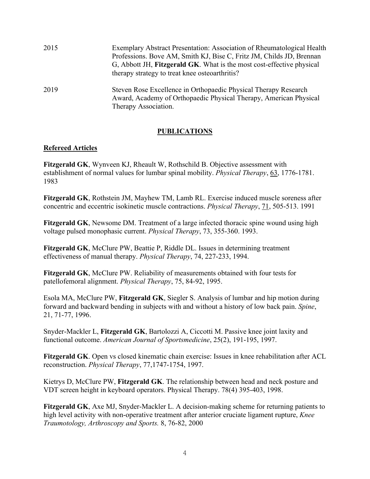| 2015 | Exemplary Abstract Presentation: Association of Rheumatological Health<br>Professions. Bove AM, Smith KJ, Bise C, Fritz JM, Childs JD, Brennan<br>G, Abbott JH, Fitzgerald GK. What is the most cost-effective physical<br>therapy strategy to treat knee osteoarthritis? |
|------|---------------------------------------------------------------------------------------------------------------------------------------------------------------------------------------------------------------------------------------------------------------------------|
| 2019 | Steven Rose Excellence in Orthopaedic Physical Therapy Research<br>Award, Academy of Orthopaedic Physical Therapy, American Physical<br>Therapy Association.                                                                                                              |

### **PUBLICATIONS**

#### **Refereed Articles**

**Fitzgerald GK**, Wynveen KJ, Rheault W, Rothschild B. Objective assessment with establishment of normal values for lumbar spinal mobility. *Physical Therapy*, 63, 1776-1781. 1983

**Fitzgerald GK**, Rothstein JM, Mayhew TM, Lamb RL. Exercise induced muscle soreness after concentric and eccentric isokinetic muscle contractions. *Physical Therapy*, 71, 505-513. 1991

**Fitzgerald GK**, Newsome DM. Treatment of a large infected thoracic spine wound using high voltage pulsed monophasic current. *Physical Therapy*, 73, 355-360. 1993.

**Fitzgerald GK**, McClure PW, Beattie P, Riddle DL. Issues in determining treatment effectiveness of manual therapy. *Physical Therapy*, 74, 227-233, 1994.

**Fitzgerald GK**, McClure PW. Reliability of measurements obtained with four tests for patellofemoral alignment. *Physical Therapy*, 75, 84-92, 1995.

Esola MA, McClure PW, **Fitzgerald GK**, Siegler S. Analysis of lumbar and hip motion during forward and backward bending in subjects with and without a history of low back pain. *Spine*, 21, 71-77, 1996.

Snyder-Mackler L, **Fitzgerald GK**, Bartolozzi A, Ciccotti M. Passive knee joint laxity and functional outcome. *American Journal of Sportsmedicine*, 25(2), 191-195, 1997.

**Fitzgerald GK**. Open vs closed kinematic chain exercise: Issues in knee rehabilitation after ACL reconstruction. *Physical Therapy*, 77,1747-1754, 1997.

Kietrys D, McClure PW, **Fitzgerald GK**. The relationship between head and neck posture and VDT screen height in keyboard operators. Physical Therapy. 78(4) 395-403, 1998.

**Fitzgerald GK**, Axe MJ, Snyder-Mackler L. A decision-making scheme for returning patients to high level activity with non-operative treatment after anterior cruciate ligament rupture, *Knee Traumotology, Arthroscopy and Sports.* 8, 76-82, 2000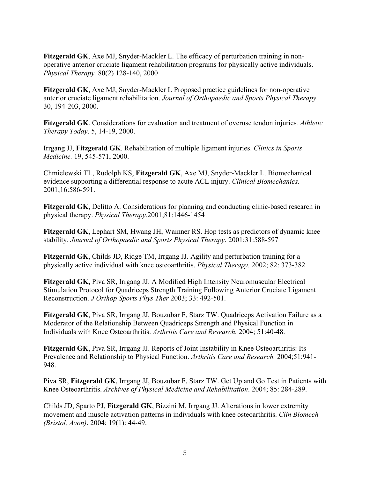**Fitzgerald GK**, Axe MJ, Snyder-Mackler L. The efficacy of perturbation training in nonoperative anterior cruciate ligament rehabilitation programs for physically active individuals. *Physical Therapy.* 80(2) 128-140, 2000

**Fitzgerald GK**, Axe MJ, Snyder-Mackler L Proposed practice guidelines for non-operative anterior cruciate ligament rehabilitation. *Journal of Orthopaedic and Sports Physical Therapy.* 30, 194-203, 2000.

**Fitzgerald GK**. Considerations for evaluation and treatment of overuse tendon injuries*. Athletic Therapy Today*. 5, 14-19, 2000.

Irrgang JJ, **Fitzgerald GK**. Rehabilitation of multiple ligament injuries. *Clinics in Sports Medicine.* 19, 545-571, 2000.

Chmielewski TL, Rudolph KS, **Fitzgerald GK**, Axe MJ, Snyder-Mackler L. Biomechanical evidence supporting a differential response to acute ACL injury. *Clinical Biomechanics*. 2001;16:586-591.

**Fitzgerald GK**, Delitto A. Considerations for planning and conducting clinic-based research in physical therapy. *Physical Therapy*.2001;81:1446-1454

**Fitzgerald GK**, Lephart SM, Hwang JH, Wainner RS. Hop tests as predictors of dynamic knee stability. *Journal of Orthopaedic and Sports Physical Therapy*. 2001;31:588-597

**Fitzgerald GK**, Childs JD, Ridge TM, Irrgang JJ. Agility and perturbation training for a physically active individual with knee osteoarthritis. *Physical Therapy.* 2002; 82: 373-382

**Fitzgerald GK,** Piva SR, Irrgang JJ. A Modified High Intensity Neuromuscular Electrical Stimulation Protocol for Quadriceps Strength Training Following Anterior Cruciate Ligament Reconstruction. *J Orthop Sports Phys Ther* 2003; 33: 492-501.

**Fitzgerald GK**, Piva SR, Irrgang JJ, Bouzubar F, Starz TW. Quadriceps Activation Failure as a Moderator of the Relationship Between Quadriceps Strength and Physical Function in Individuals with Knee Osteoarthritis. *Arthritis Care and Research.* 2004; 51:40-48.

**Fitzgerald GK**, Piva SR, Irrgang JJ. Reports of Joint Instability in Knee Osteoarthritis: Its Prevalence and Relationship to Physical Function. *Arthritis Care and Research.* 2004;51:941- 948.

Piva SR, **Fitzgerald GK**, Irrgang JJ, Bouzubar F, Starz TW. Get Up and Go Test in Patients with Knee Osteoarthritis. *Archives of Physical Medicine and Rehabilitation*. 2004; 85: 284-289.

Childs JD, Sparto PJ, **Fitzgerald GK**, Bizzini M, Irrgang JJ. Alterations in lower extremity movement and muscle activation patterns in individuals with knee osteoarthritis. *Clin Biomech (Bristol, Avon)*. 2004; 19(1): 44-49.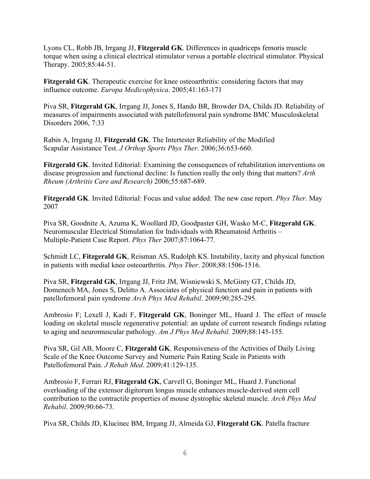Lyons CL, Robb JB, Irrgang JJ, **Fitzgerald GK**. Differences in quadriceps femoris muscle torque when using a clinical electrical stimulator versus a portable electrical stimulator. Physical Therapy. 2005;85:44-51.

**Fitzgerald GK**. Therapeutic exercise for knee osteoarthritis: considering factors that may influence outcome. *Europa Medicophysica*. 2005;41:163-171

Piva SR, **Fitzgerald GK**, Irrgang JJ, Jones S, Hando BR, Browder DA, Childs JD. Reliability of measures of impairments associated with patellofemoral pain syndrome BMC Musculoskeletal Disorders 2006, 7:33

Rabin A, Irrgang JJ, **Fitzgerald GK**. The Intertester Reliability of the Modified Scapular Assistance Test. *J Orthop Sports Phys Ther.* 2006;36:653-660.

**Fitzgerald GK**. Invited Editorial: Examining the consequences of rehabilitation interventions on disease progression and functional decline: Is function really the only thing that matters? *Arth Rheum (Arthritis Care and Research)* 2006;55:687-689.

**Fitzgerald GK**. Invited Editorial: Focus and value added: The new case report. *Phys Ther*. May 2007

Piva SR, Goodnite A, Azuma K, Woollard JD, Goodpaster GH, Wasko M-C, **Fitzgerald GK**. Neuromuscular Electrical Stimulation for Individuals with Rheumatoid Arthritis – Multiple-Patient Case Report. *Phys Ther* 2007;87:1064-77.

Schmidt LC, **Fitzgerald GK**, Reisman AS, Rudolph KS. Instability, laxity and physical function in patients with medial knee osteoarthritis. *Phys Ther*. 2008;88:1506-1516.

Piva SR, **Fitzgerald GK**, Irrgang JJ, Fritz JM, Wisniewski S, McGinty GT, Childs JD, Domenech MA, Jones S, Delitto A. Associates of physical function and pain in patients with patellofemoral pain syndrome *Arch Phys Med Rehabil*. 2009;90:285-295.

Ambrosio F; Lexell J, Kadi F, **Fitzgerald GK**, Boninger ML, Huard J. The effect of muscle loading on skeletal muscle regenerative potential: an update of current research findings relating to aging and neuromuscular pathology. *Am J Phys Med Rehabil.* 2009;88:145-155.

Piva SR, Gil AB, Moore C, **Fitzgerald GK**. Responsiveness of the Activities of Daily Living Scale of the Knee Outcome Survey and Numeric Pain Rating Scale in Patients with Patellofemoral Pain*. J Rehab Med*. 2009;41:129-135.

Ambrosio F, Ferrari RJ, **Fitzgerald GK**, Carvell G, Boninger ML, Huard J. Functional overloading of the extensor digitorum longus muscle enhances muscle-derived stem cell contribution to the contractile properties of mouse dystrophic skeletal muscle. *Arch Phys Med Rehabil*. 2009;90:66-73.

Piva SR, Childs JD, Klucinec BM, Irrgang JJ, Almeida GJ, **Fitzgerald GK**. Patella fracture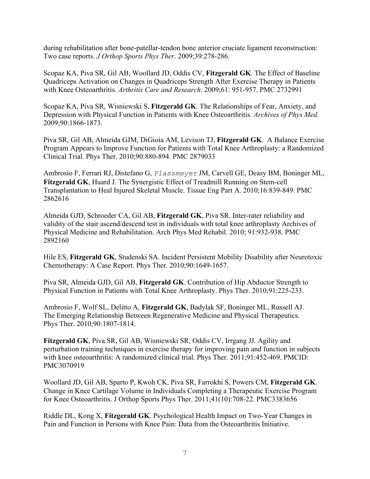during rehabilitation after bone-patellar-tendon bone anterior cruciate ligament reconstruction: Two case reports. *J Orthop Sports Phys Ther*. 2009;39:278-286.

Scopaz KA, Piva SR, Gil AB, Woollard JD, Oddis CV, **Fitzgerald GK**. The Effect of Baseline Quadriceps Activation on Changes in Quadriceps Strength After Exercise Therapy in Patients with Knee Osteoarthritis. *Arthritis Care and Research*. 2009;61: 951-957. PMC 2732991

Scopaz KA, Piva SR, Wisniewski S, **Fitzgerald GK**. The Relationships of Fear, Anxiety, and Depression with Physical Function in Patients with Knee Osteoarthritis. *Archives of Phys Med.*  2009;90:1866-1873.

Piva SR, Gil AB, Almeida GJM, DiGioia AM, Levison TJ, **Fitzgerald GK**. A Balance Exercise Program Appears to Improve Function for Patients with Total Knee Arthroplasty: a Randomized Clinical Trial. Phys Ther. 2010;90:880-894. PMC 2879033

Ambrosio F, Ferrari RJ, Distefano G, *Plassmeyer* JM, Carvell GE, Deasy BM, Boninger ML, **Fitzgerald GK**, Huard J. The Synergistic Effect of Treadmill Running on Stem-cell Transplantation to Heal Injured Skeletal Muscle. Tissue Eng Part A. 2010;16:839-849. PMC 2862616

Almeida GJD, Schroeder CA, Gil AB, **Fitzgerald GK**, Piva SR. Inter-rater reliability and validity of the stair ascend/descend test in individuals with total knee arthroplasty Archives of Physical Medicine and Rehabilitation. Arch Phys Med Rehabil. 2010; 91:932-938. PMC 2892160

Hile ES, **Fitzgerald GK**, Studenski SA. Incident Persistent Mobility Disability after Neurotoxic Chemotherapy: A Case Report. Phys Ther. 2010;90:1649-1657.

Piva SR, Almeida GJD, Gil AB, **Fitzgerald GK**. Contribution of Hip Abductor Strength to Physical Function in Patients with Total Knee Arthroplasty. Phys Ther. 2010;91:225-233.

Ambrosio F, Wolf SL, Delitto A, **Fitzgerald GK**, Badylak SF, Boninger ML, Russell AJ. The Emerging Relationship Between Regenerative Medicine and Physical Therapeutics. Phys Ther. 2010;90:1807-1814.

**Fitzgerald GK**, Piva SR, Gil AB, Wisniewski SR, Oddis CV, Irrgang JJ. Agility and perturbation training techniques in exercise therapy for improving pain and function in subjects with knee osteoarthritis: A randomized clinical trial. Phys Ther. 2011;91:452-469. PMCID: PMC3070919

Woollard JD, Gil AB, Sparto P, Kwoh CK, Piva SR, Farrokhi S, Powers CM, **Fitzgerald GK**. Change in Knee Cartilage Volume in Individuals Completing a Therapeutic Exercise Program for Knee Osteoarthritis. J Orthop Sports Phys Ther. 2011;41(10):708-22. PMC3383656

Riddle DL, Kong X, **Fitzgerald GK**. Psychological Health Impact on Two-Year Changes in Pain and Function in Persons with Knee Pain: Data from the Osteoarthritis Initiative.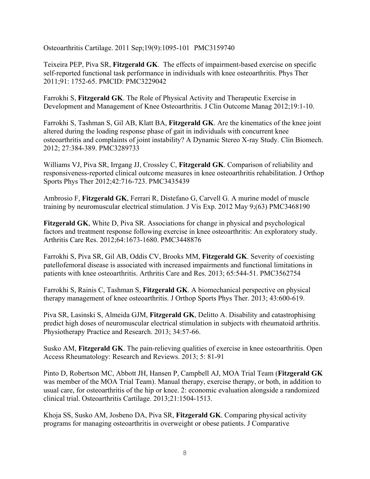Osteoarthritis Cartilage. 2011 Sep;19(9):1095-101 PMC3159740

Teixeira PEP, Piva SR, **Fitzgerald GK**. The effects of impairment-based exercise on specific self-reported functional task performance in individuals with knee osteoarthritis. Phys Ther 2011;91: 1752-65. PMCID: PMC3229042

Farrokhi S, **Fitzgerald GK**. The Role of Physical Activity and Therapeutic Exercise in Development and Management of Knee Osteoarthritis. J Clin Outcome Manag 2012;19:1-10.

Farrokhi S, Tashman S, Gil AB, Klatt BA, **Fitzgerald GK**. Are the kinematics of the knee joint altered during the loading response phase of gait in individuals with concurrent knee osteoarthritis and complaints of joint instability? A Dynamic Stereo X-ray Study. Clin Biomech. 2012; 27:384-389. PMC3289733

Williams VJ, Piva SR, Irrgang JJ, Crossley C, **Fitzgerald GK**. Comparison of reliability and responsiveness-reported clinical outcome measures in knee osteoarthritis rehabilitation. J Orthop Sports Phys Ther 2012;42:716-723. PMC3435439

Ambrosio F, **Fitzgerald GK**, Ferrari R, Distefano G, Carvell G. A murine model of muscle training by neuromuscular electrical stimulation. J Vis Exp. 2012 May 9;(63) PMC3468190

**Fitzgerald GK**, White D, Piva SR. Associations for change in physical and psychological factors and treatment response following exercise in knee osteoarthritis: An exploratory study. Arthritis Care Res. 2012;64:1673-1680. PMC3448876

Farrokhi S, Piva SR, Gil AB, Oddis CV, Brooks MM, **Fitzgerald GK**. Severity of coexisting patellofemoral disease is associated with increased impairments and functional limitations in patients with knee osteoarthritis. Arthritis Care and Res. 2013; 65:544-51. PMC3562754

Farrokhi S, Rainis C, Tashman S, **Fitzgerald GK**. A biomechanical perspective on physical therapy management of knee osteoarthritis. J Orthop Sports Phys Ther. 2013; 43:600-619.

Piva SR, Lasinski S, Almeida GJM, **Fitzgerald GK**, Delitto A. Disability and catastrophising predict high doses of neuromuscular electrical stimulation in subjects with rheumatoid arthritis. Physiotherapy Practice and Research. 2013; 34:57-66.

Susko AM, **Fitzgerald GK**. The pain-relieving qualities of exercise in knee osteoarthritis. Open Access Rheumatology: Research and Reviews. 2013; 5: 81-91

Pinto D, Robertson MC, Abbott JH, Hansen P, Campbell AJ, MOA Trial Team (**Fitzgerald GK** was member of the MOA Trial Team). Manual therapy, exercise therapy, or both, in addition to usual care, for osteoarthritis of the hip or knee. 2: economic evaluation alongside a randomized clinical trial. Osteoarthritis Cartilage. 2013;21:1504-1513.

Khoja SS, Susko AM, Josbeno DA, Piva SR, **Fitzgerald GK**. Comparing physical activity programs for managing osteoarthritis in overweight or obese patients. J Comparative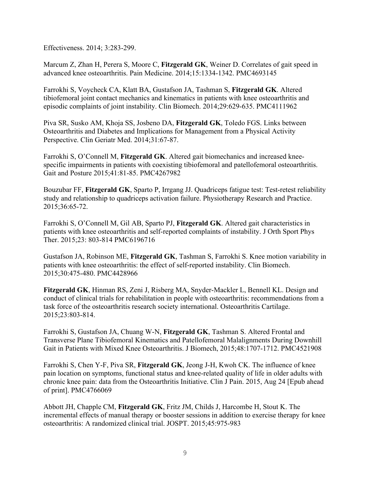Effectiveness. 2014; 3:283-299.

Marcum Z, Zhan H, Perera S, Moore C, **Fitzgerald GK**, Weiner D. Correlates of gait speed in advanced knee osteoarthritis. Pain Medicine. 2014;15:1334-1342. PMC4693145

Farrokhi S, Voycheck CA, Klatt BA, Gustafson JA, Tashman S, **Fitzgerald GK**. Altered tibiofemoral joint contact mechanics and kinematics in patients with knee osteoarthritis and episodic complaints of joint instability. Clin Biomech. 2014;29:629-635. PMC4111962

Piva SR, Susko AM, Khoja SS, Josbeno DA, **Fitzgerald GK**, Toledo FGS. Links between Osteoarthritis and Diabetes and Implications for Management from a Physical Activity Perspective. Clin Geriatr Med. 2014;31:67-87.

Farrokhi S, O'Connell M, **Fitzgerald GK**. Altered gait biomechanics and increased kneespecific impairments in patients with coexisting tibiofemoral and patellofemoral osteoarthritis. Gait and Posture 2015;41:81-85. PMC4267982

Bouzubar FF, **Fitzgerald GK**, Sparto P, Irrgang JJ. Quadriceps fatigue test: Test-retest reliability study and relationship to quadriceps activation failure. Physiotherapy Research and Practice. 2015;36:65-72.

Farrokhi S, O'Connell M, Gil AB, Sparto PJ, **Fitzgerald GK**. Altered gait characteristics in patients with knee osteoarthritis and self-reported complaints of instability. J Orth Sport Phys Ther. 2015;23: 803-814 PMC6196716

Gustafson JA, Robinson ME, **Fitzgerald GK**, Tashman S, Farrokhi S. Knee motion variability in patients with knee osteoarthritis: the effect of self-reported instability. Clin Biomech. 2015;30:475-480. PMC4428966

**Fitzgerald GK**, Hinman RS, Zeni J, Risberg MA, Snyder-Mackler L, Bennell KL. Design and conduct of clinical trials for rehabilitation in people with osteoarthritis: recommendations from a task force of the osteoarthritis research society international. Osteoarthritis Cartilage. 2015;23:803-814.

Farrokhi S, Gustafson JA, Chuang W-N, **Fitzgerald GK**, Tashman S. Altered Frontal and Transverse Plane Tibiofemoral Kinematics and Patellofemoral Malalignments During Downhill Gait in Patients with Mixed Knee Osteoarthritis. J Biomech, 2015;48:1707-1712. PMC4521908

Farrokhi S, Chen Y-F, Piva SR, **Fitzgerald GK**, Jeong J-H, Kwoh CK. The influence of knee pain location on symptoms, functional status and knee-related quality of life in older adults with chronic knee pain: data from the Osteoarthritis Initiative. Clin J Pain. 2015, Aug 24 [Epub ahead of print]. PMC4766069

Abbott JH, Chapple CM, **Fitzgerald GK**, Fritz JM, Childs J, Harcombe H, Stout K. The incremental effects of manual therapy or booster sessions in addition to exercise therapy for knee osteoarthritis: A randomized clinical trial. JOSPT. 2015;45:975-983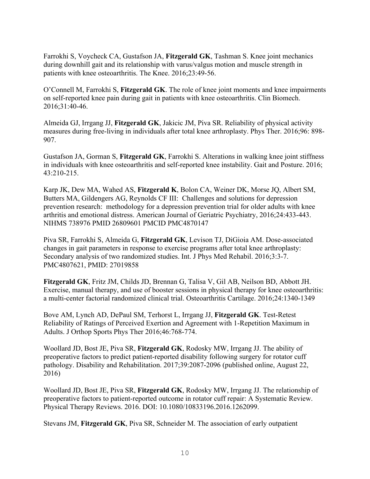Farrokhi S, Voycheck CA, Gustafson JA, **Fitzgerald GK**, Tashman S. Knee joint mechanics during downhill gait and its relationship with varus/valgus motion and muscle strength in patients with knee osteoarthritis. The Knee. 2016;23:49-56.

O'Connell M, Farrokhi S, **Fitzgerald GK**. The role of knee joint moments and knee impairments on self-reported knee pain during gait in patients with knee osteoarthritis. Clin Biomech. 2016;31:40-46.

Almeida GJ, Irrgang JJ, **Fitzgerald GK**, Jakicic JM, Piva SR. Reliability of physical activity measures during free-living in individuals after total knee arthroplasty. Phys Ther. 2016;96: 898- 907.

Gustafson JA, Gorman S, **Fitzgerald GK**, Farrokhi S. Alterations in walking knee joint stiffness in individuals with knee osteoarthritis and self-reported knee instability. Gait and Posture. 2016; 43:210-215.

Karp JK, Dew MA, Wahed AS, **Fitzgerald K**, Bolon CA, Weiner DK, Morse JQ, Albert SM, Butters MA, Gildengers AG, Reynolds CF III: Challenges and solutions for depression prevention research: methodology for a depression prevention trial for older adults with knee arthritis and emotional distress. American Journal of Geriatric Psychiatry, 2016;24:433-443. NIHMS 738976 PMID 26809601 PMCID PMC4870147

Piva SR, Farrokhi S, Almeida G, **Fitzgerald GK**, Levison TJ, DiGioia AM. Dose-associated changes in gait parameters in response to exercise programs after total knee arthroplasty: Secondary analysis of two randomized studies. Int. J Phys Med Rehabil. 2016;3:3-7. PMC4807621, PMID: 27019858

**Fitzgerald GK**, Fritz JM, Childs JD, Brennan G, Talisa V, Gil AB, Neilson BD, Abbott JH. Exercise, manual therapy, and use of booster sessions in physical therapy for knee osteoarthritis: a multi-center factorial randomized clinical trial. Osteoarthritis Cartilage. 2016;24:1340-1349

Bove AM, Lynch AD, DePaul SM, Terhorst L, Irrgang JJ, **Fitzgerald GK**. Test-Retest Reliability of Ratings of Perceived Exertion and Agreement with 1-Repetition Maximum in Adults. J Orthop Sports Phys Ther 2016;46:768-774.

Woollard JD, Bost JE, Piva SR, **Fitzgerald GK**, Rodosky MW, Irrgang JJ. The ability of preoperative factors to predict patient-reported disability following surgery for rotator cuff pathology. Disability and Rehabilitation. 2017;39:2087-2096 (published online, August 22, 2016)

Woollard JD, Bost JE, Piva SR, **Fitzgerald GK**, Rodosky MW, Irrgang JJ. The relationship of preoperative factors to patient-reported outcome in rotator cuff repair: A Systematic Review. Physical Therapy Reviews. 2016. DOI: 10.1080/10833196.2016.1262099.

Stevans JM, **Fitzgerald GK**, Piva SR, Schneider M. The association of early outpatient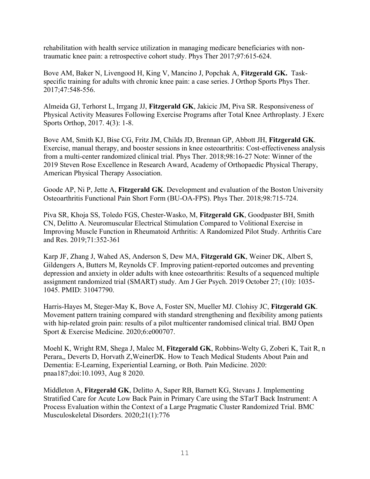rehabilitation with health service utilization in managing medicare beneficiaries with nontraumatic knee pain: a retrospective cohort study. Phys Ther 2017;97:615-624.

Bove AM, Baker N, Livengood H, King V, Mancino J, Popchak A, **Fitzgerald GK.** Taskspecific training for adults with chronic knee pain: a case series. J Orthop Sports Phys Ther. 2017;47:548-556.

Almeida GJ, Terhorst L, Irrgang JJ, **Fitzgerald GK**, Jakicic JM, Piva SR. Responsiveness of Physical Activity Measures Following Exercise Programs after Total Knee Arthroplasty. J Exerc Sports Orthop, 2017. 4(3): 1-8.

Bove AM, Smith KJ, Bise CG, Fritz JM, Childs JD, Brennan GP, Abbott JH, **Fitzgerald GK**. Exercise, manual therapy, and booster sessions in knee osteoarthritis: Cost-effectiveness analysis from a multi-center randomized clinical trial. Phys Ther. 2018;98:16-27 Note: Winner of the 2019 Steven Rose Excellence in Research Award, Academy of Orthopaedic Physical Therapy, American Physical Therapy Association.

Goode AP, Ni P, Jette A, **Fitzgerald GK**. Development and evaluation of the Boston University Osteoarthritis Functional Pain Short Form (BU-OA-FPS). Phys Ther. 2018;98:715-724.

Piva SR, Khoja SS, Toledo FGS, Chester-Wasko, M, **Fitzgerald GK**, Goodpaster BH, Smith CN, Delitto A. Neuromuscular Electrical Stimulation Compared to Volitional Exercise in Improving Muscle Function in Rheumatoid Arthritis: A Randomized Pilot Study. Arthritis Care and Res. 2019;71:352-361

Karp JF, Zhang J, Wahed AS, Anderson S, Dew MA, **Fitzgerald GK**, Weiner DK, Albert S, Gildengers A, Butters M, Reynolds CF. Improving patient-reported outcomes and preventing depression and anxiety in older adults with knee osteoarthritis: Results of a sequenced multiple assignment randomized trial (SMART) study. Am J Ger Psych. 2019 October 27; (10): 1035- 1045. PMID: 31047790.

Harris-Hayes M, Steger-May K, Bove A, Foster SN, Mueller MJ. Clohisy JC, **Fitzgerald GK**. Movement pattern training compared with standard strengthening and flexibility among patients with hip-related groin pain: results of a pilot multicenter randomised clinical trial. BMJ Open Sport & Exercise Medicine. 2020;6:e000707.

Moehl K, Wright RM, Shega J, Malec M, **Fitzgerald GK**, Robbins-Welty G, Zoberi K, Tait R, n Perara,, Deverts D, Horvath Z,WeinerDK. How to Teach Medical Students About Pain and Dementia: E-Learning, Experiential Learning, or Both. Pain Medicine. 2020: pnaa187;doi:10.1093, Aug 8 2020.

Middleton A, **Fitzgerald GK**, Delitto A, Saper RB, Barnett KG, Stevans J. Implementing Stratified Care for Acute Low Back Pain in Primary Care using the STarT Back Instrument: A Process Evaluation within the Context of a Large Pragmatic Cluster Randomized Trial. BMC Musculoskeletal Disorders. 2020;21(1):776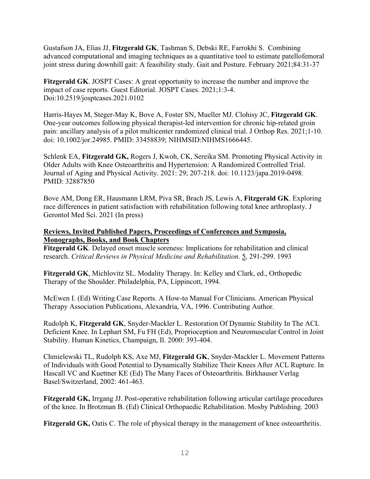Gustafson JA, Elias JJ, **Fitzgerald GK**, Tashman S, Debski RE, Farrokhi S. Combining advanced computational and imaging techniques as a quantitative tool to estimate patellofemoral joint stress during downhill gait: A feasibility study. Gait and Posture. February 2021;84:31-37

**Fitzgerald GK**. JOSPT Cases: A great opportunity to increase the number and improve the impact of case reports. Guest Editorial. JOSPT Cases. 2021;1:3-4. Doi:10.2519/josptcases.2021.0102

Harris-Hayes M, Steger-May K, Bove A, Foster SN, Mueller MJ. Clohisy JC, **Fitzgerald GK**. One-year outcomes following physical therapist-led intervention for chronic hip-related groin pain: ancillary analysis of a pilot multicenter randomized clinical trial. J Orthop Res. 2021;1-10. doi: 10.1002/jor.24985. PMID: 33458839; NIHMSID:NIHMS1666445.

Schlenk EA, **Fitzgerald GK,** Rogers J, Kwoh, CK, Sereika SM. Promoting Physical Activity in Older Adults with Knee Osteoarthritis and Hypertension: A Randomized Controlled Trial. Journal of Aging and Physical Activity. 2021: 29; 207-218. doi: 10.1123/japa.2019-0498. PMID: 32887850

Bove AM, Dong ER, Hausmann LRM, Piva SR, Brach JS, Lewis A, **Fitzgerald GK**. Exploring race differences in patient satisfaction with rehabilitation following total knee arthroplasty. J Gerontol Med Sci. 2021 (In press)

### **Reviews, Invited Published Papers, Proceedings of Conferences and Symposia, Monographs, Books, and Book Chapters**

**Fitzgerald GK**. Delayed onset muscle soreness: Implications for rehabilitation and clinical research. *Critical Reviews in Physical Medicine and Rehabilitation*. 5, 291-299. 1993

**Fitzgerald GK**, Michlovitz SL. Modality Therapy. In: Kelley and Clark, ed., Orthopedic Therapy of the Shoulder. Philadelphia, PA, Lippincott, 1994.

McEwen I. (Ed) Writing Case Reports. A How-to Manual For Clinicians. American Physical Therapy Association Publications, Alexandria, VA, 1996. Contributing Author.

Rudolph K, **Fitzgerald GK**, Snyder-Mackler L. Restoration Of Dynamic Stability In The ACL Deficient Knee. In Lephart SM, Fu FH (Ed), Proprioception and Neuromuscular Control in Joint Stability. Human Kinetics, Champaign, Il. 2000: 393-404.

Chmielewski TL, Rudolph KS, Axe MJ, **Fitzgerald GK**, Snyder-Mackler L. Movement Patterns of Individuals with Good Potential to Dynamically Stabilize Their Knees After ACL Rupture. In Hascall VC and Kuettner KE (Ed) The Many Faces of Osteoarthritis. Birkhauser Verlag Basel/Switzerland, 2002: 461-463.

**Fitzgerald GK,** Irrgang JJ. Post-operative rehabilitation following articular cartilage procedures of the knee. In Brotzman B. (Ed) Clinical Orthopaedic Rehabilitation. Mosby Publishing. 2003

**Fitzgerald GK,** Oatis C. The role of physical therapy in the management of knee osteoarthritis.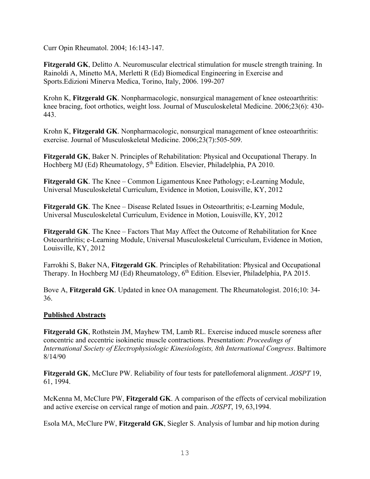Curr Opin Rheumatol. 2004; 16:143-147.

**Fitzgerald GK**, Delitto A. Neuromuscular electrical stimulation for muscle strength training. In Rainoldi A, Minetto MA, Merletti R (Ed) Biomedical Engineering in Exercise and Sports.Edizioni Minerva Medica, Torino, Italy, 2006. 199-207

Krohn K, **Fitzgerald GK**. Nonpharmacologic, nonsurgical management of knee osteoarthritis: knee bracing, foot orthotics, weight loss. Journal of Musculoskeletal Medicine. 2006;23(6): 430- 443.

Krohn K, **Fitzgerald GK**. Nonpharmacologic, nonsurgical management of knee osteoarthritis: exercise. Journal of Musculoskeletal Medicine. 2006;23(7):505-509.

**Fitzgerald GK**, Baker N. Principles of Rehabilitation: Physical and Occupational Therapy. In Hochberg MJ (Ed) Rheumatology, 5<sup>th</sup> Edition. Elsevier, Philadelphia, PA 2010.

**Fitzgerald GK**. The Knee – Common Ligamentous Knee Pathology; e-Learning Module, Universal Musculoskeletal Curriculum, Evidence in Motion, Louisville, KY, 2012

**Fitzgerald GK**. The Knee – Disease Related Issues in Osteoarthritis; e-Learning Module, Universal Musculoskeletal Curriculum, Evidence in Motion, Louisville, KY, 2012

**Fitzgerald GK**. The Knee – Factors That May Affect the Outcome of Rehabilitation for Knee Osteoarthritis; e-Learning Module, Universal Musculoskeletal Curriculum, Evidence in Motion, Louisville, KY, 2012

Farrokhi S, Baker NA, **Fitzgerald GK**. Principles of Rehabilitation: Physical and Occupational Therapy. In Hochberg MJ (Ed) Rheumatology, 6<sup>th</sup> Edition. Elsevier, Philadelphia, PA 2015.

Bove A, **Fitzgerald GK**. Updated in knee OA management. The Rheumatologist. 2016;10: 34- 36.

### **Published Abstracts**

**Fitzgerald GK**, Rothstein JM, Mayhew TM, Lamb RL. Exercise induced muscle soreness after concentric and eccentric isokinetic muscle contractions. Presentation: *Proceedings of International Society of Electrophysiologic Kinesiologists, 8th International Congress*. Baltimore 8/14/90

**Fitzgerald GK**, McClure PW. Reliability of four tests for patellofemoral alignment. *JOSPT* 19, 61, 1994.

McKenna M, McClure PW, **Fitzgerald GK**. A comparison of the effects of cervical mobilization and active exercise on cervical range of motion and pain. *JOSPT*, 19, 63,1994.

Esola MA, McClure PW, **Fitzgerald GK**, Siegler S. Analysis of lumbar and hip motion during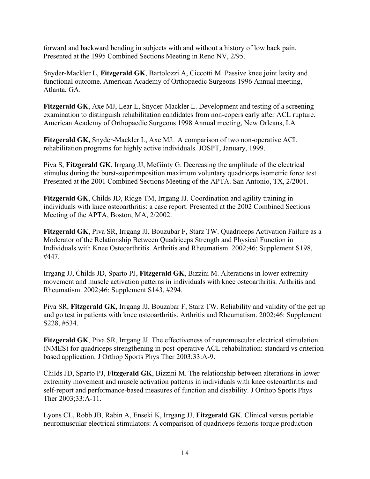forward and backward bending in subjects with and without a history of low back pain. Presented at the 1995 Combined Sections Meeting in Reno NV, 2/95.

Snyder-Mackler L, **Fitzgerald GK**, Bartolozzi A, Ciccotti M. Passive knee joint laxity and functional outcome. American Academy of Orthopaedic Surgeons 1996 Annual meeting, Atlanta, GA.

**Fitzgerald GK**, Axe MJ, Lear L, Snyder-Mackler L. Development and testing of a screening examination to distinguish rehabilitation candidates from non-copers early after ACL rupture. American Academy of Orthopaedic Surgeons 1998 Annual meeting, New Orleans, LA

**Fitzgerald GK,** Snyder-Mackler L, Axe MJ. A comparison of two non-operative ACL rehabilitation programs for highly active individuals. JOSPT, January, 1999.

Piva S, **Fitzgerald GK**, Irrgang JJ, McGinty G. Decreasing the amplitude of the electrical stimulus during the burst-superimposition maximum voluntary quadriceps isometric force test. Presented at the 2001 Combined Sections Meeting of the APTA. San Antonio, TX, 2/2001.

**Fitzgerald GK**, Childs JD, Ridge TM, Irrgang JJ. Coordination and agility training in individuals with knee osteoarthritis: a case report. Presented at the 2002 Combined Sections Meeting of the APTA, Boston, MA, 2/2002.

**Fitzgerald GK**, Piva SR, Irrgang JJ, Bouzubar F, Starz TW. Quadriceps Activation Failure as a Moderator of the Relationship Between Quadriceps Strength and Physical Function in Individuals with Knee Osteoarthritis. Arthritis and Rheumatism. 2002;46: Supplement S198, #447.

Irrgang JJ, Childs JD, Sparto PJ, **Fitzgerald GK**, Bizzini M. Alterations in lower extremity movement and muscle activation patterns in individuals with knee osteoarthritis. Arthritis and Rheumatism. 2002;46: Supplement S143, #294.

Piva SR, **Fitzgerald GK**, Irrgang JJ, Bouzabar F, Starz TW. Reliability and validity of the get up and go test in patients with knee osteoarthritis. Arthritis and Rheumatism. 2002;46: Supplement S228, #534.

**Fitzgerald GK**, Piva SR, Irrgang JJ. The effectiveness of neuromuscular electrical stimulation (NMES) for quadriceps strengthening in post-operative ACL rehabilitation: standard vs criterionbased application. J Orthop Sports Phys Ther 2003;33:A-9.

Childs JD, Sparto PJ, **Fitzgerald GK**, Bizzini M. The relationship between alterations in lower extremity movement and muscle activation patterns in individuals with knee osteoarthritis and self-report and performance-based measures of function and disability. J Orthop Sports Phys Ther 2003;33:A-11.

Lyons CL, Robb JB, Rabin A, Enseki K, Irrgang JJ, **Fitzgerald GK**. Clinical versus portable neuromuscular electrical stimulators: A comparison of quadriceps femoris torque production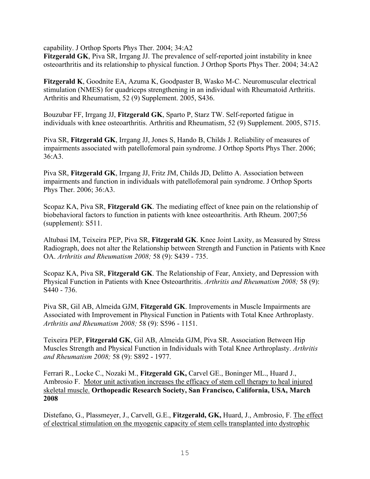capability. J Orthop Sports Phys Ther. 2004; 34:A2

**Fitzgerald GK**, Piva SR, Irrgang JJ. The prevalence of self-reported joint instability in knee osteoarthritis and its relationship to physical function. J Orthop Sports Phys Ther. 2004; 34:A2

**Fitzgerald K**, Goodnite EA, Azuma K, Goodpaster B, Wasko M-C. Neuromuscular electrical stimulation (NMES) for quadriceps strengthening in an individual with Rheumatoid Arthritis. Arthritis and Rheumatism, 52 (9) Supplement. 2005, S436.

Bouzubar FF, Irrgang JJ, **Fitzgerald GK**, Sparto P, Starz TW. Self-reported fatigue in individuals with knee osteoarthritis. Arthritis and Rheumatism, 52 (9) Supplement. 2005, S715.

Piva SR, **Fitzgerald GK**, Irrgang JJ, Jones S, Hando B, Childs J. Reliability of measures of impairments associated with patellofemoral pain syndrome. J Orthop Sports Phys Ther. 2006; 36:A3.

Piva SR, **Fitzgerald GK**, Irrgang JJ, Fritz JM, Childs JD, Delitto A. Association between impairments and function in individuals with patellofemoral pain syndrome. J Orthop Sports Phys Ther. 2006; 36:A3.

Scopaz KA, Piva SR, **Fitzgerald GK**. The mediating effect of knee pain on the relationship of biobehavioral factors to function in patients with knee osteoarthritis. Arth Rheum. 2007;56 (supplement): S511.

Altubasi IM, Teixeira PEP, Piva SR, **Fitzgerald GK**. Knee Joint Laxity, as Measured by Stress Radiograph, does not alter the Relationship between Strength and Function in Patients with Knee OA. *Arthritis and Rheumatism 2008;* 58 (9): S439 - 735.

Scopaz KA, Piva SR, **Fitzgerald GK**. The Relationship of Fear, Anxiety, and Depression with Physical Function in Patients with Knee Osteoarthritis. *Arthritis and Rheumatism 2008;* 58 (9): S440 - 736.

Piva SR, Gil AB, Almeida GJM, **Fitzgerald GK**. Improvements in Muscle Impairments are Associated with Improvement in Physical Function in Patients with Total Knee Arthroplasty. *Arthritis and Rheumatism 2008;* 58 (9): S596 - 1151.

Teixeira PEP, **Fitzgerald GK**, Gil AB, Almeida GJM, Piva SR. Association Between Hip Muscles Strength and Physical Function in Individuals with Total Knee Arthroplasty. *Arthritis and Rheumatism 2008;* 58 (9): S892 - 1977.

Ferrari R., Locke C., Nozaki M., **Fitzgerald GK,** Carvel GE., Boninger ML., Huard J., Ambrosio F. Motor unit activation increases the efficacy of stem cell therapy to heal injured skeletal muscle. **Orthopeadic Research Society, San Francisco, California, USA, March 2008** 

Distefano, G., Plassmeyer, J., Carvell, G.E., **Fitzgerald, GK,** Huard, J., Ambrosio, F. The effect of electrical stimulation on the myogenic capacity of stem cells transplanted into dystrophic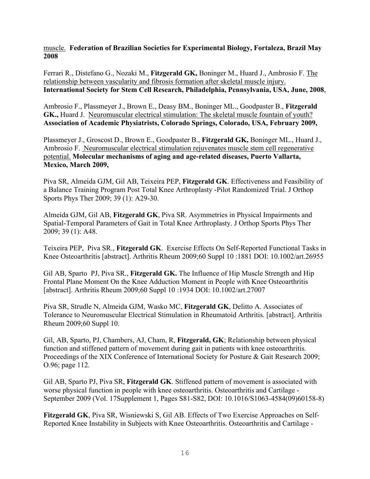muscle. **Federation of Brazilian Societies for Experimental Biology, Fortaleza, Brazil May 2008** 

Ferrari R., Distefano G., Nozaki M., **Fitzgerald GK,** Boninger M., Huard J., Ambrosio F. The relationship between vascularity and fibrosis formation after skeletal muscle injury. **International Society for Stem Cell Research, Philadelphia, Pennsylvania, USA, June, 2008**,

Ambrosio F., Plassmeyer J., Brown E., Deasy BM., Boninger ML., Goodpaster B., **Fitzgerald GK.,** Huard J. Neuromuscular electrical stimulation: The skeletal muscle fountain of youth? **Association of Academic Physiatrists, Colorado Springs, Colorado, USA, February 2009,**

Plassmeyer J., Groscost D., Brown E., Goodpaster B., **Fitzgerald GK,** Boninger ML., Huard J., Ambrosio F. Neuromuscular electrical stimulation rejuvenates muscle stem cell regenerative potential. **Molecular mechanisms of aging and age-related diseases, Puerto Vallarta, Mexico, March 2009,** 

Piva SR, Almeida GJM, Gil AB, Teixeira PEP, **Fitzgerald GK**. Effectiveness and Feasibility of a Balance Training Program Post Total Knee Arthroplasty -Pilot Randomized Trial. J Orthop Sports Phys Ther 2009; 39 (1): A29-30.

Almeida GJM, Gil AB, **Fitzgerald GK**, Piva SR. Asymmetries in Physical Impairments and Spatial-Temporal Parameters of Gait in Total Knee Arthroplasty. J Orthop Sports Phys Ther 2009; 39 (1): A48.

Teixeira PEP, Piva SR., **Fitzgerald GK**. Exercise Effects On Self-Reported Functional Tasks in Knee Osteoarthritis [abstract]. Arthritis Rheum 2009;60 Suppl 10 :1881 DOI: 10.1002/art.26955

Gil AB, Sparto PJ, Piva SR., **Fitzgerald GK.** The Influence of Hip Muscle Strength and Hip Frontal Plane Moment On the Knee Adduction Moment in People with Knee Osteoarthritis [abstract]. Arthritis Rheum 2009;60 Suppl 10 :1934 DOI: 10.1002/art.27007

Piva SR, Strudle N, Almeida GJM, Wasko MC, **Fitzgerald GK**, Delitto A. Associates of Tolerance to Neuromuscular Electrical Stimulation in Rheumatoid Arthritis. [abstract]. Arthritis Rheum 2009;60 Suppl 10.

Gil, AB, Sparto, PJ, Chambers, AJ, Cham, R, **Fitzgerald, GK**; Relationship between physical function and stiffened pattern of movement during gait in patients with knee osteoarthritis. Proceedings of the XIX Conference of International Society for Posture & Gait Research 2009; O.96; page 112.

Gil AB, Sparto PJ, Piva SR, **Fitzgerald GK**. Stiffened pattern of movement is associated with worse physical function in people with knee osteoarthritis. Osteoarthritis and Cartilage - September 2009 (Vol. 17Supplement 1, Pages S81-S82, DOI: 10.1016/S1063-4584(09)60158-8)

**Fitzgerald GK**, Piva SR, Wisniewski S, Gil AB. Effects of Two Exercise Approaches on Self-Reported Knee Instability in Subjects with Knee Osteoarthritis. Osteoarthritis and Cartilage -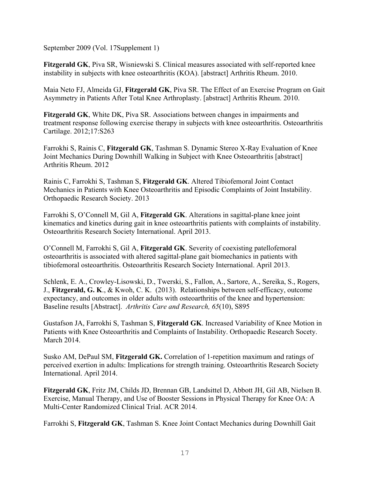September 2009 (Vol. 17Supplement 1)

**Fitzgerald GK**, Piva SR, Wisniewski S. Clinical measures associated with self-reported knee instability in subjects with knee osteoarthritis (KOA). [abstract] Arthritis Rheum. 2010.

Maia Neto FJ, Almeida GJ, **Fitzgerald GK**, Piva SR. The Effect of an Exercise Program on Gait Asymmetry in Patients After Total Knee Arthroplasty. [abstract] Arthritis Rheum. 2010.

**Fitzgerald GK**, White DK, Piva SR. Associations between changes in impairments and treatment response following exercise therapy in subjects with knee osteoarthritis. Osteoarthritis Cartilage. 2012;17:S263

Farrokhi S, Rainis C, **Fitzgerald GK**, Tashman S. Dynamic Stereo X-Ray Evaluation of Knee Joint Mechanics During Downhill Walking in Subject with Knee Osteoarthritis [abstract] Arthritis Rheum. 2012

Rainis C, Farrokhi S, Tashman S, **Fitzgerald GK**. Altered Tibiofemoral Joint Contact Mechanics in Patients with Knee Osteoarthritis and Episodic Complaints of Joint Instability. Orthopaedic Research Society. 2013

Farrokhi S, O'Connell M, Gil A, **Fitzgerald GK**. Alterations in sagittal-plane knee joint kinematics and kinetics during gait in knee osteoarthritis patients with complaints of instability. Osteoarthritis Research Society International. April 2013.

O'Connell M, Farrokhi S, Gil A, **Fitzgerald GK**. Severity of coexisting patellofemoral osteoarthritis is associated with altered sagittal-plane gait biomechanics in patients with tibiofemoral osteoarthritis. Osteoarthritis Research Society International. April 2013.

Schlenk, E. A., Crowley-Lisowski, D., Twerski, S., Fallon, A., Sartore, A., Sereika, S., Rogers, J., **Fitzgerald, G. K**., & Kwoh, C. K. (2013). Relationships between self-efficacy, outcome expectancy, and outcomes in older adults with osteoarthritis of the knee and hypertension: Baseline results [Abstract]. *Arthritis Care and Research, 65*(10), S895

Gustafson JA, Farrokhi S, Tashman S, **Fitzgerald GK**. Increased Variability of Knee Motion in Patients with Knee Osteoarthritis and Complaints of Instability. Orthopaedic Research Socety. March 2014.

Susko AM, DePaul SM, **Fitzgerald GK.** Correlation of 1-repetition maximum and ratings of perceived exertion in adults: Implications for strength training. Osteoarthritis Research Society International. April 2014.

**Fitzgerald GK**, Fritz JM, Childs JD, Brennan GB, Landsittel D, Abbott JH, Gil AB, Nielsen B. Exercise, Manual Therapy, and Use of Booster Sessions in Physical Therapy for Knee OA: A Multi-Center Randomized Clinical Trial. ACR 2014.

Farrokhi S, **Fitzgerald GK**, Tashman S. Knee Joint Contact Mechanics during Downhill Gait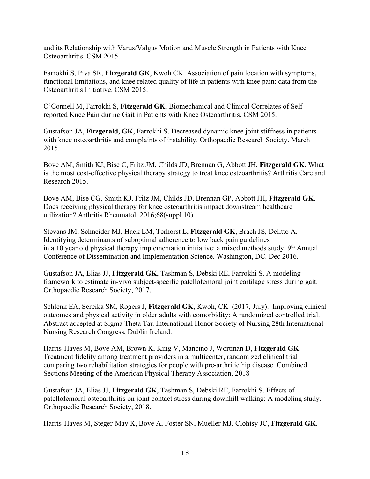and its Relationship with Varus/Valgus Motion and Muscle Strength in Patients with Knee Osteoarthritis. CSM 2015.

Farrokhi S, Piva SR, **Fitzgerald GK**, Kwoh CK. Association of pain location with symptoms, functional limitations, and knee related quality of life in patients with knee pain: data from the Osteoarthritis Initiative. CSM 2015.

O'Connell M, Farrokhi S, **Fitzgerald GK**. Biomechanical and Clinical Correlates of Selfreported Knee Pain during Gait in Patients with Knee Osteoarthritis. CSM 2015.

Gustafson JA, **Fitzgerald, GK**, Farrokhi S. Decreased dynamic knee joint stiffness in patients with knee osteoarthritis and complaints of instability. Orthopaedic Research Society. March 2015.

Bove AM, Smith KJ, Bise C, Fritz JM, Childs JD, Brennan G, Abbott JH, **Fitzgerald GK**. What is the most cost-effective physical therapy strategy to treat knee osteoarthritis? Arthritis Care and Research 2015.

Bove AM, Bise CG, Smith KJ, Fritz JM, Childs JD, Brennan GP, Abbott JH, **Fitzgerald GK**. Does receiving physical therapy for knee osteoarthritis impact downstream healthcare utilization? Arthritis Rheumatol. 2016;68(suppl 10).

Stevans JM, Schneider MJ, Hack LM, Terhorst L, **Fitzgerald GK**, Brach JS, Delitto A. Identifying determinants of suboptimal adherence to low back pain guidelines in a 10 year old physical therapy implementation initiative: a mixed methods study.  $9<sup>th</sup>$  Annual Conference of Dissemination and Implementation Science. Washington, DC. Dec 2016.

Gustafson JA, Elias JJ, **Fitzgerald GK**, Tashman S, Debski RE, Farrokhi S. A modeling framework to estimate in-vivo subject-specific patellofemoral joint cartilage stress during gait. Orthopaedic Research Society, 2017.

Schlenk EA, Sereika SM, Rogers J, **Fitzgerald GK**, Kwoh, CK (2017, July). Improving clinical outcomes and physical activity in older adults with comorbidity: A randomized controlled trial. Abstract accepted at Sigma Theta Tau International Honor Society of Nursing 28th International Nursing Research Congress, Dublin Ireland.

Harris-Hayes M, Bove AM, Brown K, King V, Mancino J, Wortman D, **Fitzgerald GK**. Treatment fidelity among treatment providers in a multicenter, randomized clinical trial comparing two rehabilitation strategies for people with pre-arthritic hip disease. Combined Sections Meeting of the American Physical Therapy Association. 2018

Gustafson JA, Elias JJ, **Fitzgerald GK**, Tashman S, Debski RE, Farrokhi S. Effects of patellofemoral osteoarthritis on joint contact stress during downhill walking: A modeling study. Orthopaedic Research Society, 2018.

Harris-Hayes M, Steger-May K, Bove A, Foster SN, Mueller MJ. Clohisy JC, **Fitzgerald GK**.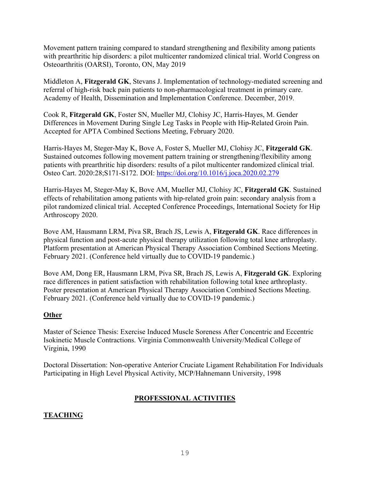Movement pattern training compared to standard strengthening and flexibility among patients with prearthritic hip disorders: a pilot multicenter randomized clinical trial. World Congress on Osteoarthritis (OARSI), Toronto, ON, May 2019

Middleton A, **Fitzgerald GK**, Stevans J. Implementation of technology-mediated screening and referral of high-risk back pain patients to non-pharmacological treatment in primary care. Academy of Health, Dissemination and Implementation Conference. December, 2019.

Cook R, **Fitzgerald GK**, Foster SN, Mueller MJ, Clohisy JC, Harris-Hayes, M. Gender Differences in Movement During Single Leg Tasks in People with Hip-Related Groin Pain. Accepted for APTA Combined Sections Meeting, February 2020.

Harris-Hayes M, Steger-May K, Bove A, Foster S, Mueller MJ, Clohisy JC, **Fitzgerald GK**. Sustained outcomes following movement pattern training or strengthening/flexibility among patients with prearthritic hip disorders: results of a pilot multicenter randomized clinical trial. Osteo Cart. 2020:28;S171-S172. DOI:<https://doi.org/10.1016/j.joca.2020.02.279>

Harris-Hayes M, Steger-May K, Bove AM, Mueller MJ, Clohisy JC, **Fitzgerald GK**. Sustained effects of rehabilitation among patients with hip-related groin pain: secondary analysis from a pilot randomized clinical trial. Accepted Conference Proceedings, International Society for Hip Arthroscopy 2020.

Bove AM, Hausmann LRM, Piva SR, Brach JS, Lewis A, **Fitzgerald GK**. Race differences in physical function and post-acute physical therapy utilization following total knee arthroplasty. Platform presentation at American Physical Therapy Association Combined Sections Meeting. February 2021. (Conference held virtually due to COVID-19 pandemic.)

Bove AM, Dong ER, Hausmann LRM, Piva SR, Brach JS, Lewis A, **Fitzgerald GK**. Exploring race differences in patient satisfaction with rehabilitation following total knee arthroplasty. Poster presentation at American Physical Therapy Association Combined Sections Meeting. February 2021. (Conference held virtually due to COVID-19 pandemic.)

### **Other**

Master of Science Thesis: Exercise Induced Muscle Soreness After Concentric and Eccentric Isokinetic Muscle Contractions. Virginia Commonwealth University/Medical College of Virginia, 1990

Doctoral Dissertation: Non-operative Anterior Cruciate Ligament Rehabilitation For Individuals Participating in High Level Physical Activity, MCP/Hahnemann University, 1998

## **PROFESSIONAL ACTIVITIES**

## **TEACHING**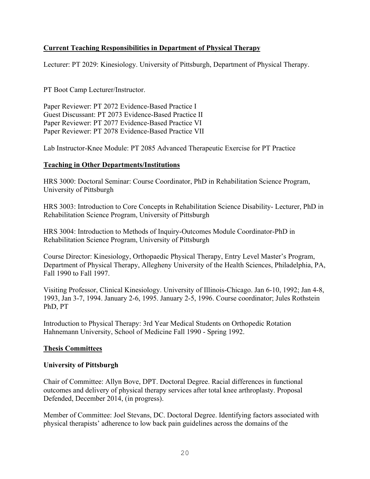## **Current Teaching Responsibilities in Department of Physical Therapy**

Lecturer: PT 2029: Kinesiology. University of Pittsburgh, Department of Physical Therapy.

PT Boot Camp Lecturer/Instructor.

Paper Reviewer: PT 2072 Evidence-Based Practice I Guest Discussant: PT 2073 Evidence-Based Practice II Paper Reviewer: PT 2077 Evidence-Based Practice VI Paper Reviewer: PT 2078 Evidence-Based Practice VII

Lab Instructor-Knee Module: PT 2085 Advanced Therapeutic Exercise for PT Practice

#### **Teaching in Other Departments/Institutions**

HRS 3000: Doctoral Seminar: Course Coordinator, PhD in Rehabilitation Science Program, University of Pittsburgh

HRS 3003: Introduction to Core Concepts in Rehabilitation Science Disability- Lecturer, PhD in Rehabilitation Science Program, University of Pittsburgh

HRS 3004: Introduction to Methods of Inquiry-Outcomes Module Coordinator-PhD in Rehabilitation Science Program, University of Pittsburgh

Course Director: Kinesiology, Orthopaedic Physical Therapy, Entry Level Master's Program, Department of Physical Therapy, Allegheny University of the Health Sciences, Philadelphia, PA, Fall 1990 to Fall 1997.

Visiting Professor, Clinical Kinesiology. University of Illinois-Chicago. Jan 6-10, 1992; Jan 4-8, 1993, Jan 3-7, 1994. January 2-6, 1995. January 2-5, 1996. Course coordinator; Jules Rothstein PhD, PT

Introduction to Physical Therapy: 3rd Year Medical Students on Orthopedic Rotation Hahnemann University, School of Medicine Fall 1990 - Spring 1992.

### **Thesis Committees**

#### **University of Pittsburgh**

Chair of Committee: Allyn Bove, DPT. Doctoral Degree. Racial differences in functional outcomes and delivery of physical therapy services after total knee arthroplasty. Proposal Defended, December 2014, (in progress).

Member of Committee: Joel Stevans, DC. Doctoral Degree. Identifying factors associated with physical therapists' adherence to low back pain guidelines across the domains of the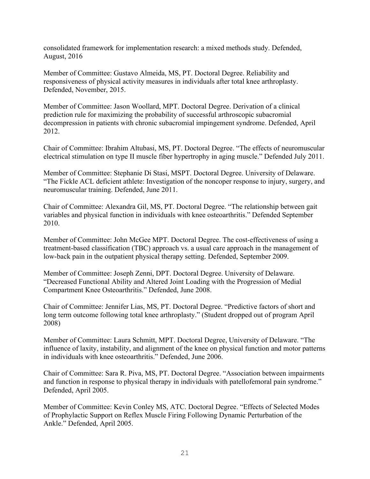consolidated framework for implementation research: a mixed methods study. Defended, August, 2016

Member of Committee: Gustavo Almeida, MS, PT. Doctoral Degree. Reliability and responsiveness of physical activity measures in individuals after total knee arthroplasty. Defended, November, 2015.

Member of Committee: Jason Woollard, MPT. Doctoral Degree. Derivation of a clinical prediction rule for maximizing the probability of successful arthroscopic subacromial decompression in patients with chronic subacromial impingement syndrome. Defended, April 2012.

Chair of Committee: Ibrahim Altubasi, MS, PT. Doctoral Degree. "The effects of neuromuscular electrical stimulation on type II muscle fiber hypertrophy in aging muscle." Defended July 2011.

Member of Committee: Stephanie Di Stasi, MSPT. Doctoral Degree. University of Delaware. "The Fickle ACL deficient athlete: Investigation of the noncoper response to injury, surgery, and neuromuscular training. Defended, June 2011.

Chair of Committee: Alexandra Gil, MS, PT. Doctoral Degree. "The relationship between gait variables and physical function in individuals with knee osteoarthritis." Defended September 2010.

Member of Committee: John McGee MPT. Doctoral Degree. The cost-effectiveness of using a treatment-based classification (TBC) approach vs. a usual care approach in the management of low-back pain in the outpatient physical therapy setting. Defended, September 2009.

Member of Committee: Joseph Zenni, DPT. Doctoral Degree. University of Delaware. "Decreased Functional Ability and Altered Joint Loading with the Progression of Medial Compartment Knee Osteoarthritis." Defended, June 2008.

Chair of Committee: Jennifer Lias, MS, PT. Doctoral Degree. "Predictive factors of short and long term outcome following total knee arthroplasty." (Student dropped out of program April 2008)

Member of Committee: Laura Schmitt, MPT. Doctoral Degree, University of Delaware. "The influence of laxity, instability, and alignment of the knee on physical function and motor patterns in individuals with knee osteoarthritis." Defended, June 2006.

Chair of Committee: Sara R. Piva, MS, PT. Doctoral Degree. "Association between impairments and function in response to physical therapy in individuals with patellofemoral pain syndrome." Defended, April 2005.

Member of Committee: Kevin Conley MS, ATC. Doctoral Degree. "Effects of Selected Modes of Prophylactic Support on Reflex Muscle Firing Following Dynamic Perturbation of the Ankle." Defended, April 2005.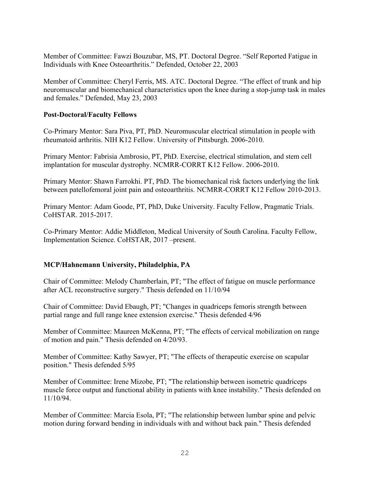Member of Committee: Fawzi Bouzubar, MS, PT. Doctoral Degree. "Self Reported Fatigue in Individuals with Knee Osteoarthritis." Defended, October 22, 2003

Member of Committee: Cheryl Ferris, MS. ATC. Doctoral Degree. "The effect of trunk and hip neuromuscular and biomechanical characteristics upon the knee during a stop-jump task in males and females." Defended, May 23, 2003

### **Post-Doctoral/Faculty Fellows**

Co-Primary Mentor: Sara Piva, PT, PhD. Neuromuscular electrical stimulation in people with rheumatoid arthritis. NIH K12 Fellow. University of Pittsburgh. 2006-2010.

Primary Mentor: Fabrisia Ambrosio, PT, PhD. Exercise, electrical stimulation, and stem cell implantation for muscular dystrophy. NCMRR-CORRT K12 Fellow. 2006-2010.

Primary Mentor: Shawn Farrokhi. PT, PhD. The biomechanical risk factors underlying the link between patellofemoral joint pain and osteoarthritis. NCMRR-CORRT K12 Fellow 2010-2013.

Primary Mentor: Adam Goode, PT, PhD, Duke University. Faculty Fellow, Pragmatic Trials. CoHSTAR. 2015-2017.

Co-Primary Mentor: Addie Middleton, Medical University of South Carolina. Faculty Fellow, Implementation Science. CoHSTAR, 2017 –present.

### **MCP/Hahnemann University, Philadelphia, PA**

Chair of Committee: Melody Chamberlain, PT; "The effect of fatigue on muscle performance after ACL reconstructive surgery." Thesis defended on 11/10/94

Chair of Committee: David Ebaugh, PT; "Changes in quadriceps femoris strength between partial range and full range knee extension exercise." Thesis defended 4/96

Member of Committee: Maureen McKenna, PT; "The effects of cervical mobilization on range of motion and pain." Thesis defended on 4/20/93.

Member of Committee: Kathy Sawyer, PT; "The effects of therapeutic exercise on scapular position." Thesis defended 5/95

Member of Committee: Irene Mizobe, PT; "The relationship between isometric quadriceps muscle force output and functional ability in patients with knee instability." Thesis defended on 11/10/94.

Member of Committee: Marcia Esola, PT; "The relationship between lumbar spine and pelvic motion during forward bending in individuals with and without back pain." Thesis defended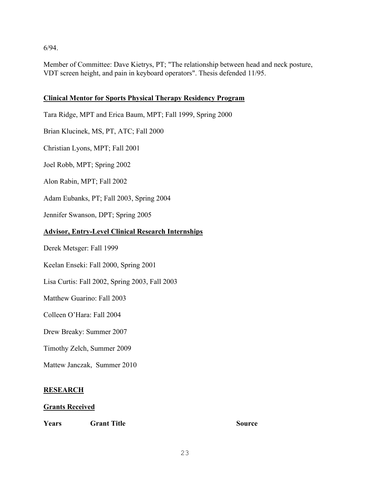6/94.

Member of Committee: Dave Kietrys, PT; "The relationship between head and neck posture, VDT screen height, and pain in keyboard operators". Thesis defended 11/95.

## **Clinical Mentor for Sports Physical Therapy Residency Program**

Tara Ridge, MPT and Erica Baum, MPT; Fall 1999, Spring 2000

Brian Klucinek, MS, PT, ATC; Fall 2000

Christian Lyons, MPT; Fall 2001

Joel Robb, MPT; Spring 2002

Alon Rabin, MPT; Fall 2002

Adam Eubanks, PT; Fall 2003, Spring 2004

Jennifer Swanson, DPT; Spring 2005

### **Advisor, Entry-Level Clinical Research Internships**

Derek Metsger: Fall 1999

Keelan Enseki: Fall 2000, Spring 2001

Lisa Curtis: Fall 2002, Spring 2003, Fall 2003

Matthew Guarino: Fall 2003

Colleen O'Hara: Fall 2004

Drew Breaky: Summer 2007

Timothy Zelch, Summer 2009

Mattew Janczak, Summer 2010

### **RESEARCH**

#### **Grants Received**

**Years Grant Title Source**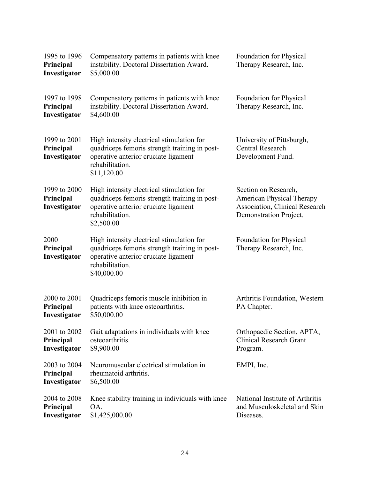| 1995 to 1996<br>Principal<br>Investigator | Compensatory patterns in patients with knee<br>instability. Doctoral Dissertation Award.<br>\$5,000.00                                                               | Foundation for Physical<br>Therapy Research, Inc.                                                                           |
|-------------------------------------------|----------------------------------------------------------------------------------------------------------------------------------------------------------------------|-----------------------------------------------------------------------------------------------------------------------------|
| 1997 to 1998<br>Principal<br>Investigator | Compensatory patterns in patients with knee<br>instability. Doctoral Dissertation Award.<br>\$4,600.00                                                               | Foundation for Physical<br>Therapy Research, Inc.                                                                           |
| 1999 to 2001<br>Principal<br>Investigator | High intensity electrical stimulation for<br>quadriceps femoris strength training in post-<br>operative anterior cruciate ligament<br>rehabilitation.<br>\$11,120.00 | University of Pittsburgh,<br><b>Central Research</b><br>Development Fund.                                                   |
| 1999 to 2000<br>Principal<br>Investigator | High intensity electrical stimulation for<br>quadriceps femoris strength training in post-<br>operative anterior cruciate ligament<br>rehabilitation.<br>\$2,500.00  | Section on Research,<br><b>American Physical Therapy</b><br><b>Association, Clinical Research</b><br>Demonstration Project. |
| 2000<br>Principal<br>Investigator         | High intensity electrical stimulation for<br>quadriceps femoris strength training in post-<br>operative anterior cruciate ligament<br>rehabilitation.<br>\$40,000.00 | Foundation for Physical<br>Therapy Research, Inc.                                                                           |
| 2000 to 2001<br>Principal<br>Investigator | Quadriceps femoris muscle inhibition in<br>patients with knee osteoarthritis.<br>\$50,000.00                                                                         | Arthritis Foundation, Western<br>PA Chapter.                                                                                |
| 2001 to 2002<br>Principal<br>Investigator | Gait adaptations in individuals with knee<br>osteoarthritis.<br>\$9,900.00                                                                                           | Orthopaedic Section, APTA,<br><b>Clinical Research Grant</b><br>Program.                                                    |
| 2003 to 2004<br>Principal<br>Investigator | Neuromuscular electrical stimulation in<br>rheumatoid arthritis.<br>\$6,500.00                                                                                       | EMPI, Inc.                                                                                                                  |
| 2004 to 2008<br>Principal<br>Investigator | Knee stability training in individuals with knee<br>OA.<br>\$1,425,000.00                                                                                            | National Institute of Arthritis<br>and Musculoskeletal and Skin<br>Diseases.                                                |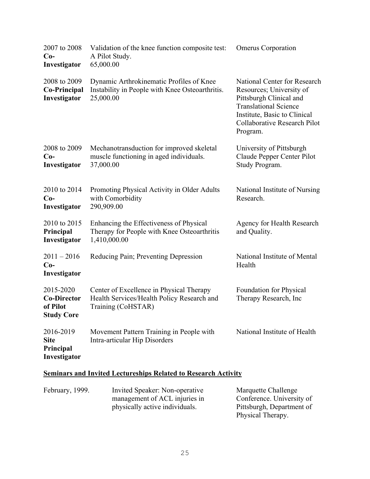| 2007 to 2008<br>$Co-$<br>Investigator                            | Validation of the knee function composite test:<br>A Pilot Study.<br>65,000.00                               | <b>Omerus Corporation</b>                                                                                                                                                                       |
|------------------------------------------------------------------|--------------------------------------------------------------------------------------------------------------|-------------------------------------------------------------------------------------------------------------------------------------------------------------------------------------------------|
| 2008 to 2009<br><b>Co-Principal</b><br>Investigator              | Dynamic Arthrokinematic Profiles of Knee<br>Instability in People with Knee Osteoarthritis.<br>25,000.00     | National Center for Research<br>Resources; University of<br>Pittsburgh Clinical and<br><b>Translational Science</b><br>Institute, Basic to Clinical<br>Collaborative Research Pilot<br>Program. |
| 2008 to 2009<br>$Co-$<br>Investigator                            | Mechanotransduction for improved skeletal<br>muscle functioning in aged individuals.<br>37,000.00            | University of Pittsburgh<br>Claude Pepper Center Pilot<br>Study Program.                                                                                                                        |
| 2010 to 2014<br>$Co-$<br>Investigator                            | Promoting Physical Activity in Older Adults<br>with Comorbidity<br>290,909.00                                | National Institute of Nursing<br>Research.                                                                                                                                                      |
| 2010 to 2015<br>Principal<br>Investigator                        | Enhancing the Effectiveness of Physical<br>Therapy for People with Knee Osteoarthritis<br>1,410,000.00       | Agency for Health Research<br>and Quality.                                                                                                                                                      |
| $2011 - 2016$<br>$Co-$<br>Investigator                           | Reducing Pain; Preventing Depression                                                                         | National Institute of Mental<br>Health                                                                                                                                                          |
| 2015-2020<br><b>Co-Director</b><br>of Pilot<br><b>Study Core</b> | Center of Excellence in Physical Therapy<br>Health Services/Health Policy Research and<br>Training (CoHSTAR) | Foundation for Physical<br>Therapy Research, Inc.                                                                                                                                               |
| 2016-2019<br><b>Site</b><br>Principal<br>Investigator            | Movement Pattern Training in People with<br>Intra-articular Hip Disorders                                    | National Institute of Health                                                                                                                                                                    |

# **Seminars and Invited Lectureships Related to Research Activity**

| February, 1999. | Invited Speaker: Non-operative | Marquette Challenge       |
|-----------------|--------------------------------|---------------------------|
|                 | management of ACL injuries in  | Conference. University of |
|                 | physically active individuals. | Pittsburgh, Department of |
|                 |                                | Physical Therapy.         |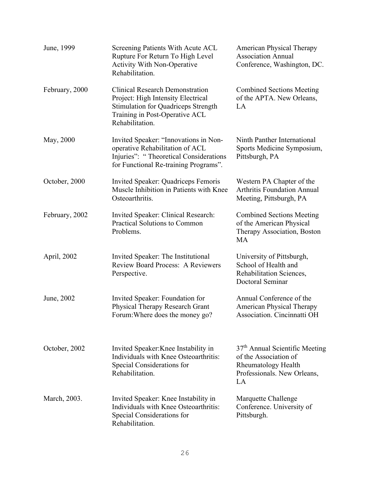| June, 1999     | Screening Patients With Acute ACL<br>Rupture For Return To High Level<br><b>Activity With Non-Operative</b><br>Rehabilitation.                                                  | <b>American Physical Therapy</b><br><b>Association Annual</b><br>Conference, Washington, DC.                                           |
|----------------|---------------------------------------------------------------------------------------------------------------------------------------------------------------------------------|----------------------------------------------------------------------------------------------------------------------------------------|
| February, 2000 | <b>Clinical Research Demonstration</b><br>Project: High Intensity Electrical<br><b>Stimulation for Quadriceps Strength</b><br>Training in Post-Operative ACL<br>Rehabilitation. | <b>Combined Sections Meeting</b><br>of the APTA. New Orleans,<br>LA                                                                    |
| May, 2000      | Invited Speaker: "Innovations in Non-<br>operative Rehabilitation of ACL<br>Injuries": "Theoretical Considerations<br>for Functional Re-training Programs".                     | Ninth Panther International<br>Sports Medicine Symposium,<br>Pittsburgh, PA                                                            |
| October, 2000  | Invited Speaker: Quadriceps Femoris<br>Muscle Inhibition in Patients with Knee<br>Osteoarthritis.                                                                               | Western PA Chapter of the<br><b>Arthritis Foundation Annual</b><br>Meeting, Pittsburgh, PA                                             |
| February, 2002 | Invited Speaker: Clinical Research:<br>Practical Solutions to Common<br>Problems.                                                                                               | <b>Combined Sections Meeting</b><br>of the American Physical<br>Therapy Association, Boston<br>MA                                      |
| April, 2002    | Invited Speaker: The Institutional<br><b>Review Board Process: A Reviewers</b><br>Perspective.                                                                                  | University of Pittsburgh,<br>School of Health and<br>Rehabilitation Sciences,<br>Doctoral Seminar                                      |
| June, 2002     | Invited Speaker: Foundation for<br>Physical Therapy Research Grant<br>Forum: Where does the money go?                                                                           | Annual Conference of the<br><b>American Physical Therapy</b><br>Association. Cincinnatti OH                                            |
| October, 2002  | Invited Speaker: Knee Instability in<br>Individuals with Knee Osteoarthritis:<br>Special Considerations for<br>Rehabilitation.                                                  | 37 <sup>th</sup> Annual Scientific Meeting<br>of the Association of<br><b>Rheumatology Health</b><br>Professionals. New Orleans,<br>LA |
| March, 2003.   | Invited Speaker: Knee Instability in<br>Individuals with Knee Osteoarthritis:<br>Special Considerations for<br>Rehabilitation.                                                  | Marquette Challenge<br>Conference. University of<br>Pittsburgh.                                                                        |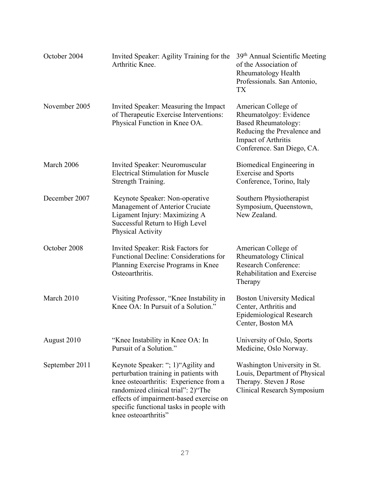| October 2004   | Invited Speaker: Agility Training for the<br>Arthritic Knee.                                                                                                                                                                                                                 | 39 <sup>th</sup> Annual Scientific Meeting<br>of the Association of<br><b>Rheumatology Health</b><br>Professionals. San Antonio,<br>TX                          |
|----------------|------------------------------------------------------------------------------------------------------------------------------------------------------------------------------------------------------------------------------------------------------------------------------|-----------------------------------------------------------------------------------------------------------------------------------------------------------------|
| November 2005  | Invited Speaker: Measuring the Impact<br>of Therapeutic Exercise Interventions:<br>Physical Function in Knee OA.                                                                                                                                                             | American College of<br>Rheumatolgoy: Evidence<br><b>Based Rheumatology:</b><br>Reducing the Prevalence and<br>Impact of Arthritis<br>Conference. San Diego, CA. |
| March 2006     | Invited Speaker: Neuromuscular<br><b>Electrical Stimulation for Muscle</b><br>Strength Training.                                                                                                                                                                             | Biomedical Engineering in<br><b>Exercise and Sports</b><br>Conference, Torino, Italy                                                                            |
| December 2007  | Keynote Speaker: Non-operative<br>Management of Anterior Cruciate<br>Ligament Injury: Maximizing A<br>Successful Return to High Level<br>Physical Activity                                                                                                                   | Southern Physiotherapist<br>Symposium, Queenstown,<br>New Zealand.                                                                                              |
| October 2008   | Invited Speaker: Risk Factors for<br>Functional Decline: Considerations for<br>Planning Exercise Programs in Knee<br>Osteoarthritis.                                                                                                                                         | American College of<br><b>Rheumatology Clinical</b><br><b>Research Conference:</b><br>Rehabilitation and Exercise<br>Therapy                                    |
| March 2010     | Visiting Professor, "Knee Instability in<br>Knee OA: In Pursuit of a Solution."                                                                                                                                                                                              | <b>Boston University Medical</b><br>Center, Arthritis and<br>Epidemiological Research<br>Center, Boston MA                                                      |
| August 2010    | "Knee Instability in Knee OA: In<br>Pursuit of a Solution."                                                                                                                                                                                                                  | University of Oslo, Sports<br>Medicine, Oslo Norway.                                                                                                            |
| September 2011 | Keynote Speaker: "; 1) "Agility and<br>perturbation training in patients with<br>knee osteoarthritis: Experience from a<br>randomized clinical trial": 2)"The<br>effects of impairment-based exercise on<br>specific functional tasks in people with<br>knee osteoarthritis" | Washington University in St.<br>Louis, Department of Physical<br>Therapy. Steven J Rose<br>Clinical Research Symposium                                          |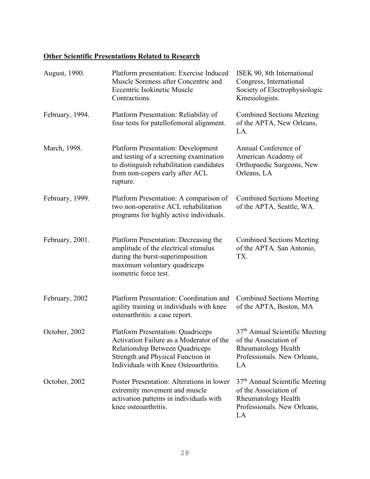## **Other Scientific Presentations Related to Research**

| August, 1990.   | Platform presentation: Exercise Induced<br>Muscle Soreness after Concentric and<br><b>Eccentric Isokinetic Muscle</b><br>Contractions.                                                                | ISEK 90, 8th International<br>Congress, International<br>Society of Electrophysiologic<br>Kinesiologists.                              |
|-----------------|-------------------------------------------------------------------------------------------------------------------------------------------------------------------------------------------------------|----------------------------------------------------------------------------------------------------------------------------------------|
| February, 1994. | Platform Presentation: Reliability of<br>four tests for patellofemoral alignment.                                                                                                                     | <b>Combined Sections Meeting</b><br>of the APTA, New Orleans,<br>LA.                                                                   |
| March, 1998.    | <b>Platform Presentation: Development</b><br>and testing of a screening examination<br>to distinguish rehabilitation candidates<br>from non-copers early after ACL<br>rupture.                        | Annual Conference of<br>American Academy of<br>Orthopaedic Surgeons, New<br>Orleans, LA                                                |
| February, 1999. | Platform Presentation: A comparison of<br>two non-operative ACL rehabilitation<br>programs for highly active individuals.                                                                             | <b>Combined Sections Meeting</b><br>of the APTA, Seattle, WA.                                                                          |
| February, 2001. | Platform Presentation: Decreasing the<br>amplitude of the electrical stimulus<br>during the burst-superimposition<br>maximum voluntary quadriceps<br>isometric force test.                            | <b>Combined Sections Meeting</b><br>of the APTA. San Antonio,<br>TX.                                                                   |
| February, 2002  | Platform Presentation: Coordination and<br>agility training in individuals with knee<br>osteoarthritis: a case report.                                                                                | <b>Combined Sections Meeting</b><br>of the APTA, Boston, MA                                                                            |
| October, 2002   | <b>Platform Presentation: Quadriceps</b><br>Activation Failure as a Moderator of the<br>Relationship Between Quadriceps<br>Strength and Physical Function in<br>Individuals with Knee Osteoarthritis. | 37 <sup>th</sup> Annual Scientific Meeting<br>of the Association of<br>Rheumatology Health<br>Professionals. New Orleans,<br>LA        |
| October, 2002   | Poster Presentation: Alterations in lower<br>extremity movement and muscle<br>activation patterns in individuals with<br>knee osteoarthritis.                                                         | 37 <sup>th</sup> Annual Scientific Meeting<br>of the Association of<br><b>Rheumatology Health</b><br>Professionals. New Orleans,<br>LA |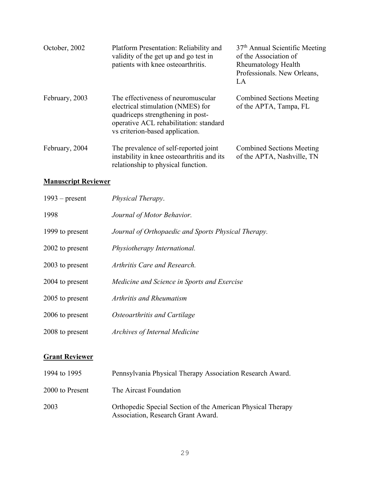| October, 2002  | Platform Presentation: Reliability and<br>validity of the get up and go test in<br>patients with knee osteoarthritis.                                                                     | 37 <sup>th</sup> Annual Scientific Meeting<br>of the Association of<br>Rheumatology Health<br>Professionals. New Orleans,<br>LA |
|----------------|-------------------------------------------------------------------------------------------------------------------------------------------------------------------------------------------|---------------------------------------------------------------------------------------------------------------------------------|
| February, 2003 | The effectiveness of neuromuscular<br>electrical stimulation (NMES) for<br>quadriceps strengthening in post-<br>operative ACL rehabilitation: standard<br>vs criterion-based application. | <b>Combined Sections Meeting</b><br>of the APTA, Tampa, FL                                                                      |
| February, 2004 | The prevalence of self-reported joint<br>instability in knee osteoarthritis and its<br>relationship to physical function.                                                                 | <b>Combined Sections Meeting</b><br>of the APTA, Nashville, TN                                                                  |

# **Manuscript Reviewer**

| $1993$ – present | Physical Therapy.                                   |
|------------------|-----------------------------------------------------|
| 1998             | Journal of Motor Behavior.                          |
| 1999 to present  | Journal of Orthopaedic and Sports Physical Therapy. |
| 2002 to present  | Physiotherapy International.                        |
| 2003 to present  | Arthritis Care and Research.                        |
| 2004 to present  | Medicine and Science in Sports and Exercise         |
| 2005 to present  | Arthritis and Rheumatism                            |
| 2006 to present  | Osteoarthritis and Cartilage                        |
| 2008 to present  | <b>Archives of Internal Medicine</b>                |

## **Grant Reviewer**

| 1994 to 1995    | Pennsylvania Physical Therapy Association Research Award.                                         |
|-----------------|---------------------------------------------------------------------------------------------------|
| 2000 to Present | The Aircast Foundation                                                                            |
| 2003            | Orthopedic Special Section of the American Physical Therapy<br>Association, Research Grant Award. |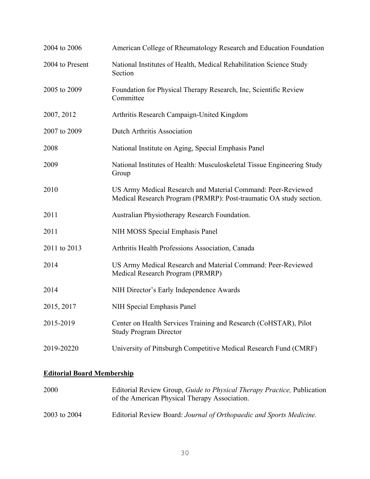| 2004 to 2006    | American College of Rheumatology Research and Education Foundation                                                                 |
|-----------------|------------------------------------------------------------------------------------------------------------------------------------|
| 2004 to Present | National Institutes of Health, Medical Rehabilitation Science Study<br>Section                                                     |
| 2005 to 2009    | Foundation for Physical Therapy Research, Inc, Scientific Review<br>Committee                                                      |
| 2007, 2012      | Arthritis Research Campaign-United Kingdom                                                                                         |
| 2007 to 2009    | Dutch Arthritis Association                                                                                                        |
| 2008            | National Institute on Aging, Special Emphasis Panel                                                                                |
| 2009            | National Institutes of Health: Musculoskeletal Tissue Engineering Study<br>Group                                                   |
| 2010            | US Army Medical Research and Material Command: Peer-Reviewed<br>Medical Research Program (PRMRP): Post-traumatic OA study section. |
| 2011            | Australian Physiotherapy Research Foundation.                                                                                      |
| 2011            | NIH MOSS Special Emphasis Panel                                                                                                    |
| 2011 to 2013    | Arthritis Health Professions Association, Canada                                                                                   |
| 2014            | US Army Medical Research and Material Command: Peer-Reviewed<br>Medical Research Program (PRMRP)                                   |
| 2014            | NIH Director's Early Independence Awards                                                                                           |
| 2015, 2017      | NIH Special Emphasis Panel                                                                                                         |
| 2015-2019       | Center on Health Services Training and Research (CoHSTAR), Pilot<br><b>Study Program Director</b>                                  |
| 2019-20220      | University of Pittsburgh Competitive Medical Research Fund (CMRF)                                                                  |

## **Editorial Board Membership**

| 2000         | Editorial Review Group, <i>Guide to Physical Therapy Practice</i> , Publication<br>of the American Physical Therapy Association. |
|--------------|----------------------------------------------------------------------------------------------------------------------------------|
| 2003 to 2004 | Editorial Review Board: Journal of Orthopaedic and Sports Medicine.                                                              |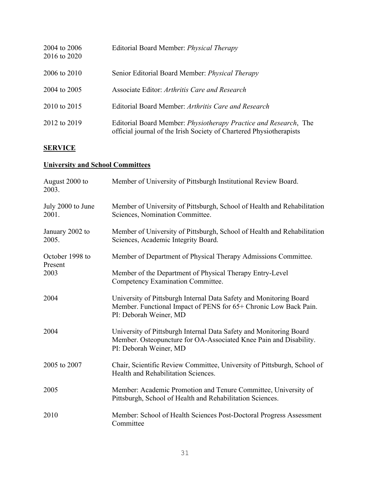| 2004 to 2006<br>2016 to 2020 | Editorial Board Member: <i>Physical Therapy</i>                                                                                                 |
|------------------------------|-------------------------------------------------------------------------------------------------------------------------------------------------|
| 2006 to 2010                 | Senior Editorial Board Member: Physical Therapy                                                                                                 |
| 2004 to 2005                 | Associate Editor: Arthritis Care and Research                                                                                                   |
| 2010 to 2015                 | Editorial Board Member: Arthritis Care and Research                                                                                             |
| 2012 to 2019                 | Editorial Board Member: <i>Physiotherapy Practice and Research</i> , The<br>official journal of the Irish Society of Chartered Physiotherapists |

# **SERVICE**

# **University and School Committees**

| August 2000 to<br>2003.    | Member of University of Pittsburgh Institutional Review Board.                                                                                                    |
|----------------------------|-------------------------------------------------------------------------------------------------------------------------------------------------------------------|
| July 2000 to June<br>2001. | Member of University of Pittsburgh, School of Health and Rehabilitation<br>Sciences, Nomination Committee.                                                        |
| January 2002 to<br>2005.   | Member of University of Pittsburgh, School of Health and Rehabilitation<br>Sciences, Academic Integrity Board.                                                    |
| October 1998 to<br>Present | Member of Department of Physical Therapy Admissions Committee.                                                                                                    |
| 2003                       | Member of the Department of Physical Therapy Entry-Level<br>Competency Examination Committee.                                                                     |
| 2004                       | University of Pittsburgh Internal Data Safety and Monitoring Board<br>Member. Functional Impact of PENS for 65+ Chronic Low Back Pain.<br>PI: Deborah Weiner, MD  |
| 2004                       | University of Pittsburgh Internal Data Safety and Monitoring Board<br>Member. Osteopuncture for OA-Associated Knee Pain and Disability.<br>PI: Deborah Weiner, MD |
| 2005 to 2007               | Chair, Scientific Review Committee, University of Pittsburgh, School of<br>Health and Rehabilitation Sciences.                                                    |
| 2005                       | Member: Academic Promotion and Tenure Committee, University of<br>Pittsburgh, School of Health and Rehabilitation Sciences.                                       |
| 2010                       | Member: School of Health Sciences Post-Doctoral Progress Assessment<br>Committee                                                                                  |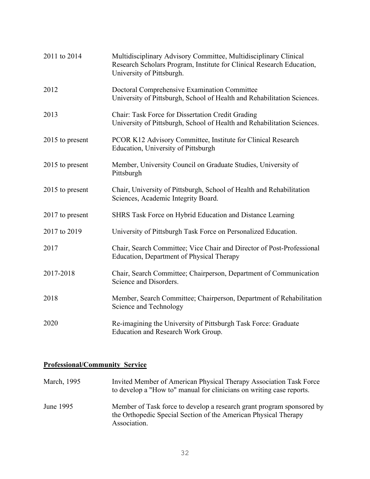| 2011 to 2014    | Multidisciplinary Advisory Committee, Multidisciplinary Clinical<br>Research Scholars Program, Institute for Clinical Research Education,<br>University of Pittsburgh. |
|-----------------|------------------------------------------------------------------------------------------------------------------------------------------------------------------------|
| 2012            | Doctoral Comprehensive Examination Committee<br>University of Pittsburgh, School of Health and Rehabilitation Sciences.                                                |
| 2013            | Chair: Task Force for Dissertation Credit Grading<br>University of Pittsburgh, School of Health and Rehabilitation Sciences.                                           |
| 2015 to present | PCOR K12 Advisory Committee, Institute for Clinical Research<br>Education, University of Pittsburgh                                                                    |
| 2015 to present | Member, University Council on Graduate Studies, University of<br>Pittsburgh                                                                                            |
| 2015 to present | Chair, University of Pittsburgh, School of Health and Rehabilitation<br>Sciences, Academic Integrity Board.                                                            |
| 2017 to present | SHRS Task Force on Hybrid Education and Distance Learning                                                                                                              |
| 2017 to 2019    | University of Pittsburgh Task Force on Personalized Education.                                                                                                         |
| 2017            | Chair, Search Committee; Vice Chair and Director of Post-Professional<br>Education, Department of Physical Therapy                                                     |
| 2017-2018       | Chair, Search Committee; Chairperson, Department of Communication<br>Science and Disorders.                                                                            |
| 2018            | Member, Search Committee; Chairperson, Department of Rehabilitation<br>Science and Technology                                                                          |
| 2020            | Re-imagining the University of Pittsburgh Task Force: Graduate<br>Education and Research Work Group.                                                                   |

# **Professional/Community Service**

| March, 1995 | Invited Member of American Physical Therapy Association Task Force<br>to develop a "How to" manual for clinicians on writing case reports.               |
|-------------|----------------------------------------------------------------------------------------------------------------------------------------------------------|
| June 1995   | Member of Task force to develop a research grant program sponsored by<br>the Orthopedic Special Section of the American Physical Therapy<br>Association. |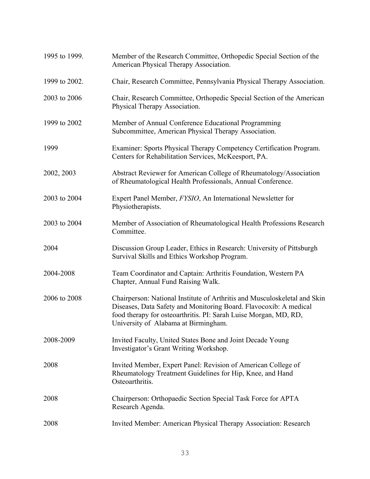| 1995 to 1999. | Member of the Research Committee, Orthopedic Special Section of the<br>American Physical Therapy Association.                                                                                                                                              |
|---------------|------------------------------------------------------------------------------------------------------------------------------------------------------------------------------------------------------------------------------------------------------------|
| 1999 to 2002. | Chair, Research Committee, Pennsylvania Physical Therapy Association.                                                                                                                                                                                      |
| 2003 to 2006  | Chair, Research Committee, Orthopedic Special Section of the American<br>Physical Therapy Association.                                                                                                                                                     |
| 1999 to 2002  | Member of Annual Conference Educational Programming<br>Subcommittee, American Physical Therapy Association.                                                                                                                                                |
| 1999          | Examiner: Sports Physical Therapy Competency Certification Program.<br>Centers for Rehabilitation Services, McKeesport, PA.                                                                                                                                |
| 2002, 2003    | Abstract Reviewer for American College of Rheumatology/Association<br>of Rheumatological Health Professionals, Annual Conference.                                                                                                                          |
| 2003 to 2004  | Expert Panel Member, FYSIO, An International Newsletter for<br>Physiotherapists.                                                                                                                                                                           |
| 2003 to 2004  | Member of Association of Rheumatological Health Professions Research<br>Committee.                                                                                                                                                                         |
| 2004          | Discussion Group Leader, Ethics in Research: University of Pittsburgh<br>Survival Skills and Ethics Workshop Program.                                                                                                                                      |
| 2004-2008     | Team Coordinator and Captain: Arthritis Foundation, Western PA<br>Chapter, Annual Fund Raising Walk.                                                                                                                                                       |
| 2006 to 2008  | Chairperson: National Institute of Arthritis and Musculoskeletal and Skin<br>Diseases, Data Safety and Monitoring Board. Flavocoxib: A medical<br>food therapy for osteoarthritis. PI: Sarah Luise Morgan, MD, RD,<br>University of Alabama at Birmingham. |
| 2008-2009     | Invited Faculty, United States Bone and Joint Decade Young<br>Investigator's Grant Writing Workshop.                                                                                                                                                       |
| 2008          | Invited Member, Expert Panel: Revision of American College of<br>Rheumatology Treatment Guidelines for Hip, Knee, and Hand<br>Osteoarthritis.                                                                                                              |
| 2008          | Chairperson: Orthopaedic Section Special Task Force for APTA<br>Research Agenda.                                                                                                                                                                           |
| 2008          | Invited Member: American Physical Therapy Association: Research                                                                                                                                                                                            |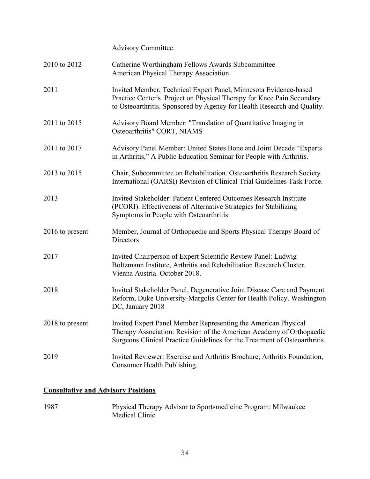|                 | Advisory Committee.                                                                                                                                                                                                  |
|-----------------|----------------------------------------------------------------------------------------------------------------------------------------------------------------------------------------------------------------------|
| 2010 to 2012    | Catherine Worthingham Fellows Awards Subcommittee<br>American Physical Therapy Association                                                                                                                           |
| 2011            | Invited Member, Technical Expert Panel, Minnesota Evidence-based<br>Practice Center's Project on Physical Therapy for Knee Pain Secondary<br>to Osteoarthritis. Sponsored by Agency for Health Research and Quality. |
| 2011 to 2015    | Advisory Board Member: "Translation of Quantitative Imaging in<br>Osteoarthritis" CORT, NIAMS                                                                                                                        |
| 2011 to 2017    | Advisory Panel Member: United States Bone and Joint Decade "Experts"<br>in Arthritis," A Public Education Seminar for People with Arthritis.                                                                         |
| 2013 to 2015    | Chair, Subcommittee on Rehabilitation. Osteoarthritis Research Society<br>International (OARSI) Revision of Clinical Trial Guidelines Task Force.                                                                    |
| 2013            | Invited Stakeholder: Patient Centered Outcomes Research Institute<br>(PCORI). Effectiveness of Alternative Strategies for Stabilizing<br>Symptoms in People with Osteoarthritis                                      |
| 2016 to present | Member, Journal of Orthopaedic and Sports Physical Therapy Board of<br>Directors                                                                                                                                     |
| 2017            | Invited Chairperson of Expert Scientific Review Panel: Ludwig<br>Boltzmann Institute, Arthritis and Rehabilitation Research Cluster.<br>Vienna Austria. October 2018.                                                |
| 2018            | Invited Stakeholder Panel, Degenerative Joint Disease Care and Payment<br>Reform, Duke University-Margolis Center for Health Policy. Washington<br>DC, January 2018                                                  |
| 2018 to present | Invited Expert Panel Member Representing the American Physical<br>Therapy Association: Revision of the American Academy of Orthopaedic<br>Surgeons Clinical Practice Guidelines for the Treatment of Osteoarthritis. |
| 2019            | Invited Reviewer: Exercise and Arthritis Brochure, Arthritis Foundation,<br>Consumer Health Publishing.                                                                                                              |

# **Consultative and Advisory Positions**

1987 Physical Therapy Advisor to Sportsmedicine Program: Milwaukee Medical Clinic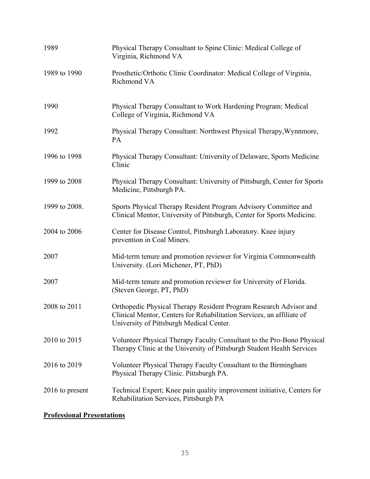| 1989            | Physical Therapy Consultant to Spine Clinic: Medical College of<br>Virginia, Richmond VA                                                                                               |
|-----------------|----------------------------------------------------------------------------------------------------------------------------------------------------------------------------------------|
| 1989 to 1990    | Prosthetic/Orthotic Clinic Coordinator: Medical College of Virginia,<br>Richmond VA                                                                                                    |
| 1990            | Physical Therapy Consultant to Work Hardening Program: Medical<br>College of Virginia, Richmond VA                                                                                     |
| 1992            | Physical Therapy Consultant: Northwest Physical Therapy, Wynnmore,<br>PA                                                                                                               |
| 1996 to 1998    | Physical Therapy Consultant: University of Delaware, Sports Medicine<br>Clinic                                                                                                         |
| 1999 to 2008    | Physical Therapy Consultant: University of Pittsburgh, Center for Sports<br>Medicine, Pittsburgh PA.                                                                                   |
| 1999 to 2008.   | Sports Physical Therapy Resident Program Advisory Committee and<br>Clinical Mentor, University of Pittsburgh, Center for Sports Medicine.                                              |
| 2004 to 2006    | Center for Disease Control, Pittsburgh Laboratory. Knee injury<br>prevention in Coal Miners.                                                                                           |
| 2007            | Mid-term tenure and promotion reviewer for Virginia Commonwealth<br>University. (Lori Michener, PT, PhD)                                                                               |
| 2007            | Mid-term tenure and promotion reviewer for University of Florida.<br>(Steven George, PT, PhD)                                                                                          |
| 2008 to 2011    | Orthopedic Physical Therapy Resident Program Research Advisor and<br>Clinical Mentor, Centers for Rehabilitation Services, an affiliate of<br>University of Pittsburgh Medical Center. |
| 2010 to 2015    | Volunteer Physical Therapy Faculty Consultant to the Pro-Bono Physical<br>Therapy Clinic at the University of Pittsburgh Student Health Services                                       |
| 2016 to 2019    | Volunteer Physical Therapy Faculty Consultant to the Birmingham<br>Physical Therapy Clinic. Pittsburgh PA.                                                                             |
| 2016 to present | Technical Expert; Knee pain quality improvement initiative, Centers for<br>Rehabilitation Services, Pittsburgh PA                                                                      |

# **Professional Presentations**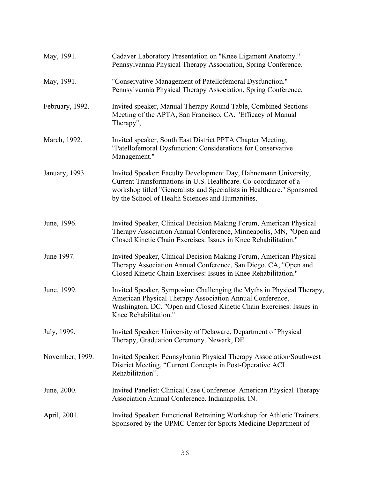| May, 1991.      | Cadaver Laboratory Presentation on "Knee Ligament Anatomy."<br>Pennsylvannia Physical Therapy Association, Spring Conference.                                                                                                                                    |
|-----------------|------------------------------------------------------------------------------------------------------------------------------------------------------------------------------------------------------------------------------------------------------------------|
| May, 1991.      | "Conservative Management of Patellofemoral Dysfunction."<br>Pennsylvannia Physical Therapy Association, Spring Conference.                                                                                                                                       |
| February, 1992. | Invited speaker, Manual Therapy Round Table, Combined Sections<br>Meeting of the APTA, San Francisco, CA. "Efficacy of Manual<br>Therapy",                                                                                                                       |
| March, 1992.    | Invited speaker, South East District PPTA Chapter Meeting,<br>"Patellofemoral Dysfunction: Considerations for Conservative<br>Management."                                                                                                                       |
| January, 1993.  | Invited Speaker: Faculty Development Day, Hahnemann University,<br>Current Transformations in U.S. Healthcare. Co-coordinator of a<br>workshop titled "Generalists and Specialists in Healthcare." Sponsored<br>by the School of Health Sciences and Humanities. |
| June, 1996.     | Invited Speaker, Clinical Decision Making Forum, American Physical<br>Therapy Association Annual Conference, Minneapolis, MN, "Open and<br>Closed Kinetic Chain Exercises: Issues in Knee Rehabilitation."                                                       |
| June 1997.      | Invited Speaker, Clinical Decision Making Forum, American Physical<br>Therapy Association Annual Conference, San Diego, CA, "Open and<br>Closed Kinetic Chain Exercises: Issues in Knee Rehabilitation."                                                         |
| June, 1999.     | Invited Speaker, Symposim: Challenging the Myths in Physical Therapy,<br>American Physical Therapy Association Annual Conference,<br>Washington, DC. "Open and Closed Kinetic Chain Exercises: Issues in<br>Knee Rehabilitation."                                |
| July, 1999.     | Invited Speaker: University of Delaware, Department of Physical<br>Therapy, Graduation Ceremony. Newark, DE.                                                                                                                                                     |
| November, 1999. | Invited Speaker: Pennsylvania Physical Therapy Association/Southwest<br>District Meeting, "Current Concepts in Post-Operative ACL<br>Rehabilitation".                                                                                                            |
| June, 2000.     | Invited Panelist: Clinical Case Conference. American Physical Therapy<br>Association Annual Conference. Indianapolis, IN.                                                                                                                                        |
| April, 2001.    | Invited Speaker: Functional Retraining Workshop for Athletic Trainers.<br>Sponsored by the UPMC Center for Sports Medicine Department of                                                                                                                         |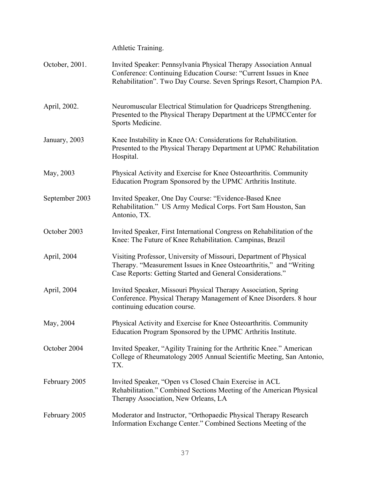Athletic Training.

| October, 2001. | Invited Speaker: Pennsylvania Physical Therapy Association Annual<br>Conference: Continuing Education Course: "Current Issues in Knee<br>Rehabilitation". Two Day Course. Seven Springs Resort, Champion PA. |
|----------------|--------------------------------------------------------------------------------------------------------------------------------------------------------------------------------------------------------------|
| April, 2002.   | Neuromuscular Electrical Stimulation for Quadriceps Strengthening.<br>Presented to the Physical Therapy Department at the UPMCCenter for<br>Sports Medicine.                                                 |
| January, 2003  | Knee Instability in Knee OA: Considerations for Rehabilitation.<br>Presented to the Physical Therapy Department at UPMC Rehabilitation<br>Hospital.                                                          |
| May, 2003      | Physical Activity and Exercise for Knee Osteoarthritis. Community<br>Education Program Sponsored by the UPMC Arthritis Institute.                                                                            |
| September 2003 | Invited Speaker, One Day Course: "Evidence-Based Knee<br>Rehabilitation." US Army Medical Corps. Fort Sam Houston, San<br>Antonio, TX.                                                                       |
| October 2003   | Invited Speaker, First International Congress on Rehabilitation of the<br>Knee: The Future of Knee Rehabilitation. Campinas, Brazil                                                                          |
| April, 2004    | Visiting Professor, University of Missouri, Department of Physical<br>Therapy. "Measurement Issues in Knee Osteoarthritis," and "Writing<br>Case Reports: Getting Started and General Considerations."       |
| April, 2004    | Invited Speaker, Missouri Physical Therapy Association, Spring<br>Conference. Physical Therapy Management of Knee Disorders. 8 hour<br>continuing education course.                                          |
| May, 2004      | Physical Activity and Exercise for Knee Osteoarthritis. Community<br>Education Program Sponsored by the UPMC Arthritis Institute.                                                                            |
| October 2004   | Invited Speaker, "Agility Training for the Arthritic Knee." American<br>College of Rheumatology 2005 Annual Scientific Meeting, San Antonio,<br>TX.                                                          |
| February 2005  | Invited Speaker, "Open vs Closed Chain Exercise in ACL<br>Rehabilitation." Combined Sections Meeting of the American Physical<br>Therapy Association, New Orleans, LA                                        |
| February 2005  | Moderator and Instructor, "Orthopaedic Physical Therapy Research<br>Information Exchange Center." Combined Sections Meeting of the                                                                           |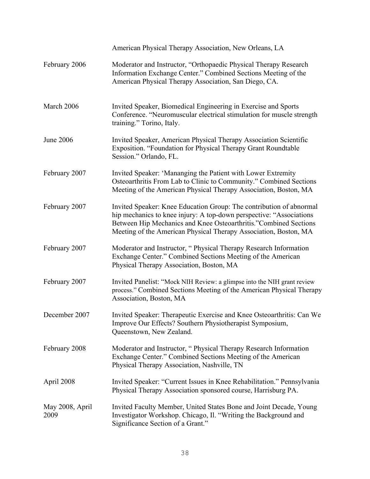|                         | American Physical Therapy Association, New Orleans, LA                                                                                                                                                                                                                              |
|-------------------------|-------------------------------------------------------------------------------------------------------------------------------------------------------------------------------------------------------------------------------------------------------------------------------------|
| February 2006           | Moderator and Instructor, "Orthopaedic Physical Therapy Research<br>Information Exchange Center." Combined Sections Meeting of the<br>American Physical Therapy Association, San Diego, CA.                                                                                         |
| March 2006              | Invited Speaker, Biomedical Engineering in Exercise and Sports<br>Conference. "Neuromuscular electrical stimulation for muscle strength<br>training." Torino, Italy.                                                                                                                |
| June 2006               | Invited Speaker, American Physical Therapy Association Scientific<br>Exposition. "Foundation for Physical Therapy Grant Roundtable<br>Session." Orlando, FL.                                                                                                                        |
| February 2007           | Invited Speaker: 'Mananging the Patient with Lower Extremity<br>Osteoarthritis From Lab to Clinic to Community." Combined Sections<br>Meeting of the American Physical Therapy Association, Boston, MA                                                                              |
| February 2007           | Invited Speaker: Knee Education Group: The contribution of abnormal<br>hip mechanics to knee injury: A top-down perspective: "Associations"<br>Between Hip Mechanics and Knee Osteoarthritis."Combined Sections<br>Meeting of the American Physical Therapy Association, Boston, MA |
| February 2007           | Moderator and Instructor, "Physical Therapy Research Information<br>Exchange Center." Combined Sections Meeting of the American<br>Physical Therapy Association, Boston, MA                                                                                                         |
| February 2007           | Invited Panelist: "Mock NIH Review: a glimpse into the NIH grant review<br>process." Combined Sections Meeting of the American Physical Therapy<br>Association, Boston, MA                                                                                                          |
| December 2007           | Invited Speaker: Therapeutic Exercise and Knee Osteoarthritis: Can We<br>Improve Our Effects? Southern Physiotherapist Symposium,<br>Queenstown, New Zealand.                                                                                                                       |
| February 2008           | Moderator and Instructor, "Physical Therapy Research Information<br>Exchange Center." Combined Sections Meeting of the American<br>Physical Therapy Association, Nashville, TN                                                                                                      |
| April 2008              | Invited Speaker: "Current Issues in Knee Rehabilitation." Pennsylvania<br>Physical Therapy Association sponsored course, Harrisburg PA.                                                                                                                                             |
| May 2008, April<br>2009 | Invited Faculty Member, United States Bone and Joint Decade, Young<br>Investigator Workshop. Chicago, Il. "Writing the Background and<br>Significance Section of a Grant."                                                                                                          |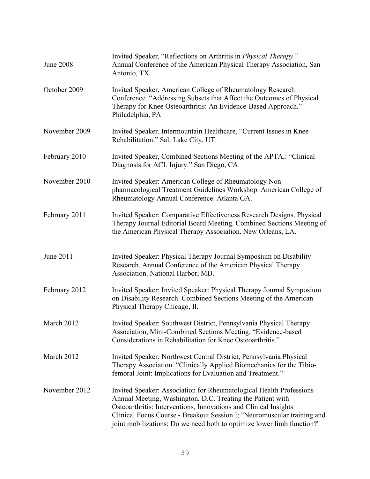| <b>June 2008</b> | Invited Speaker, "Reflections on Arthritis in <i>Physical Therapy.</i> "<br>Annual Conference of the American Physical Therapy Association, San<br>Antonio, TX.                                                                                                                                                                                            |
|------------------|------------------------------------------------------------------------------------------------------------------------------------------------------------------------------------------------------------------------------------------------------------------------------------------------------------------------------------------------------------|
| October 2009     | Invited Speaker, American College of Rheumatology Research<br>Conference. "Addressing Subsets that Affect the Outcomes of Physical<br>Therapy for Knee Osteoarthritis: An Evidence-Based Approach."<br>Philadelphia, PA                                                                                                                                    |
| November 2009    | Invited Speaker. Intermountain Healthcare, "Current Issues in Knee<br>Rehabilitation." Salt Lake City, UT.                                                                                                                                                                                                                                                 |
| February 2010    | Invited Speaker, Combined Sections Meeting of the APTA,: "Clinical<br>Diagnosis for ACL Injury." San Diego, CA                                                                                                                                                                                                                                             |
| November 2010    | Invited Speaker: American College of Rheumatology Non-<br>pharmacological Treatment Guidelines Workshop. American College of<br>Rheumatology Annual Conference. Atlanta GA.                                                                                                                                                                                |
| February 2011    | Invited Speaker: Comparative Effectiveness Research Designs. Physical<br>Therapy Journal Editorial Board Meeting. Combined Sections Meeting of<br>the American Physical Therapy Association. New Orleans, LA.                                                                                                                                              |
| June 2011        | Invited Speaker: Physical Therapy Journal Symposium on Disability<br>Research. Annual Conference of the American Physical Therapy<br>Association. National Harbor, MD.                                                                                                                                                                                     |
| February 2012    | Invited Speaker: Invited Speaker: Physical Therapy Journal Symposium<br>on Disability Research. Combined Sections Meeting of the American<br>Physical Therapy Chicago, Il.                                                                                                                                                                                 |
| March 2012       | Invited Speaker: Southwest District, Pennsylvania Physical Therapy<br>Association, Mini-Combined Sections Meeting. "Evidence-based<br>Considerations in Rehabilitation for Knee Osteoarthritis."                                                                                                                                                           |
| March 2012       | Invited Speaker: Northwest Central District, Pennsylvania Physical<br>Therapy Association. "Clinically Applied Biomechanics for the Tibio-<br>femoral Joint: Implications for Evaluation and Treatment."                                                                                                                                                   |
| November 2012    | Invited Speaker: Association for Rheumatological Health Professions<br>Annual Meeting, Washington, D.C. Treating the Patient with<br>Osteoarthritis: Interventions, Innovations and Clinical Insights<br>Clinical Focus Course - Breakout Session I; "Neuromuscular training and<br>joint mobilizations: Do we need both to optimize lower limb function?" |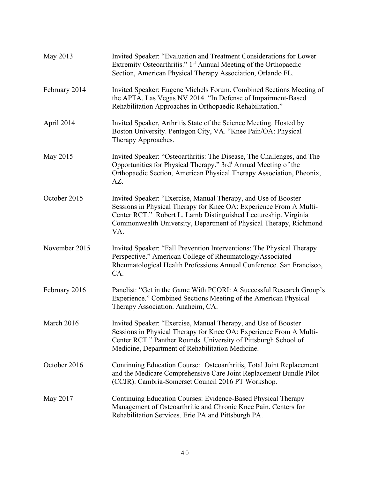| May 2013      | Invited Speaker: "Evaluation and Treatment Considerations for Lower<br>Extremity Osteoarthritis." 1 <sup>st</sup> Annual Meeting of the Orthopaedic<br>Section, American Physical Therapy Association, Orlando FL.                                                                  |
|---------------|-------------------------------------------------------------------------------------------------------------------------------------------------------------------------------------------------------------------------------------------------------------------------------------|
| February 2014 | Invited Speaker: Eugene Michels Forum. Combined Sections Meeting of<br>the APTA. Las Vegas NV 2014. "In Defense of Impairment-Based<br>Rehabilitation Approaches in Orthopaedic Rehabilitation."                                                                                    |
| April 2014    | Invited Speaker, Arthritis State of the Science Meeting. Hosted by<br>Boston University. Pentagon City, VA. "Knee Pain/OA: Physical<br>Therapy Approaches.                                                                                                                          |
| May 2015      | Invited Speaker: "Osteoarthritis: The Disease, The Challenges, and The<br>Opportunities for Physical Therapy." 3rd <sup>t</sup> Annual Meeting of the<br>Orthopaedic Section, American Physical Therapy Association, Pheonix,<br>AZ.                                                |
| October 2015  | Invited Speaker: "Exercise, Manual Therapy, and Use of Booster<br>Sessions in Physical Therapy for Knee OA: Experience From A Multi-<br>Center RCT." Robert L. Lamb Distinguished Lectureship. Virginia<br>Commonwealth University, Department of Physical Therapy, Richmond<br>VA. |
| November 2015 | Invited Speaker: "Fall Prevention Interventions: The Physical Therapy<br>Perspective." American College of Rheumatology/Associated<br>Rheumatological Health Professions Annual Conference. San Francisco,<br>CA.                                                                   |
| February 2016 | Panelist: "Get in the Game With PCORI: A Successful Research Group's<br>Experience." Combined Sections Meeting of the American Physical<br>Therapy Association. Anaheim, CA.                                                                                                        |
| March 2016    | Invited Speaker: "Exercise, Manual Therapy, and Use of Booster<br>Sessions in Physical Therapy for Knee OA: Experience From A Multi-<br>Center RCT." Panther Rounds. University of Pittsburgh School of<br>Medicine, Department of Rehabilitation Medicine.                         |
| October 2016  | Continuing Education Course: Osteoarthritis, Total Joint Replacement<br>and the Medicare Comprehensive Care Joint Replacement Bundle Pilot<br>(CCJR). Cambria-Somerset Council 2016 PT Workshop.                                                                                    |
| May 2017      | Continuing Education Courses: Evidence-Based Physical Therapy<br>Management of Osteoarthritic and Chronic Knee Pain. Centers for<br>Rehabilitation Services. Erie PA and Pittsburgh PA.                                                                                             |